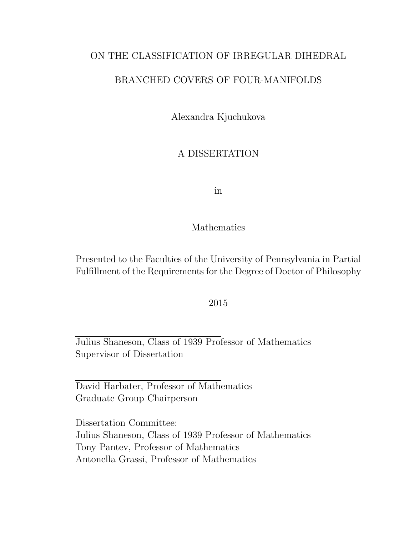### ON THE CLASSIFICATION OF IRREGULAR DIHEDRAL

#### BRANCHED COVERS OF FOUR-MANIFOLDS

Alexandra Kjuchukova

### A DISSERTATION

in

#### Mathematics

Presented to the Faculties of the University of Pennsylvania in Partial Fulfillment of the Requirements for the Degree of Doctor of Philosophy

#### 2015

Julius Shaneson, Class of 1939 Professor of Mathematics Supervisor of Dissertation

David Harbater, Professor of Mathematics Graduate Group Chairperson

Dissertation Committee: Julius Shaneson, Class of 1939 Professor of Mathematics Tony Pantev, Professor of Mathematics Antonella Grassi, Professor of Mathematics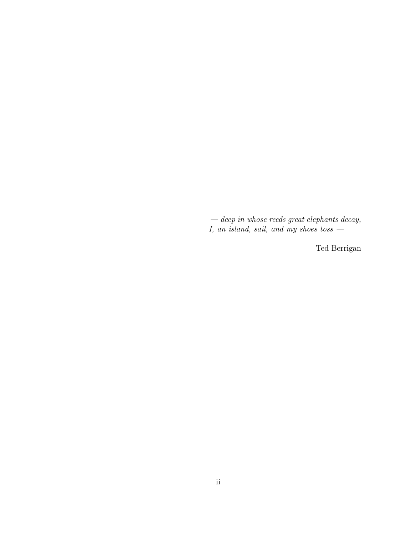$-\text{ deep in whose needs great elements decay},$ I, an island, sail, and my shoes toss —

Ted Berrigan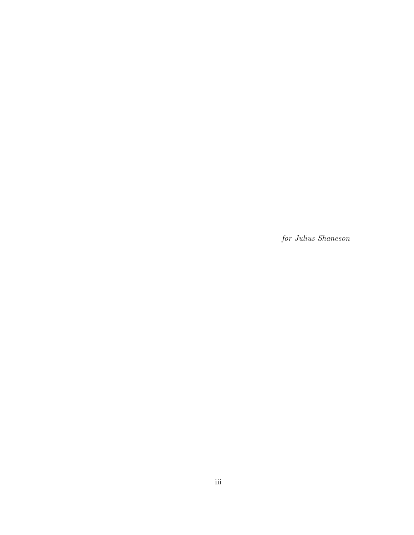for Julius Shaneson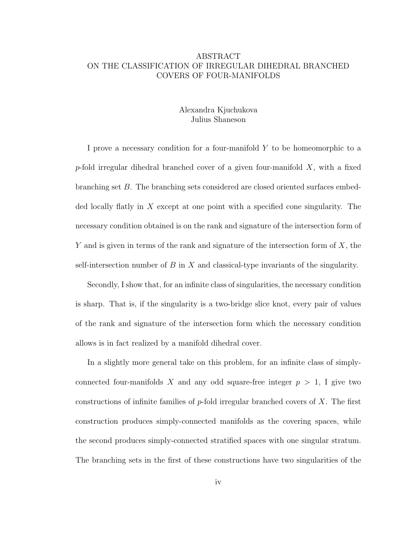#### ABSTRACT ON THE CLASSIFICATION OF IRREGULAR DIHEDRAL BRANCHED COVERS OF FOUR-MANIFOLDS

#### Alexandra Kjuchukova Julius Shaneson

I prove a necessary condition for a four-manifold Y to be homeomorphic to a p-fold irregular dihedral branched cover of a given four-manifold  $X$ , with a fixed branching set B. The branching sets considered are closed oriented surfaces embedded locally flatly in X except at one point with a specified cone singularity. The necessary condition obtained is on the rank and signature of the intersection form of Y and is given in terms of the rank and signature of the intersection form of  $X$ , the self-intersection number of  $B$  in  $X$  and classical-type invariants of the singularity.

Secondly, I show that, for an infinite class of singularities, the necessary condition is sharp. That is, if the singularity is a two-bridge slice knot, every pair of values of the rank and signature of the intersection form which the necessary condition allows is in fact realized by a manifold dihedral cover.

In a slightly more general take on this problem, for an infinite class of simplyconnected four-manifolds X and any odd square-free integer  $p > 1$ , I give two constructions of infinite families of  $p$ -fold irregular branched covers of X. The first construction produces simply-connected manifolds as the covering spaces, while the second produces simply-connected stratified spaces with one singular stratum. The branching sets in the first of these constructions have two singularities of the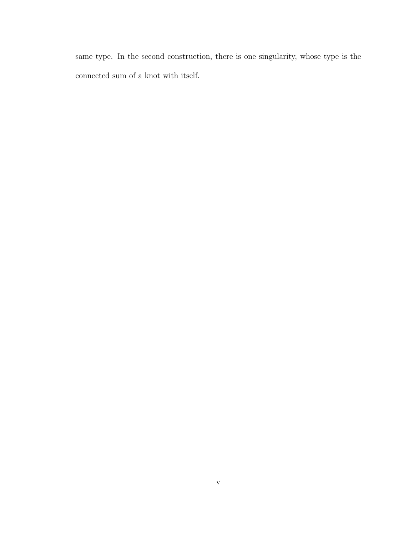same type. In the second construction, there is one singularity, whose type is the connected sum of a knot with itself.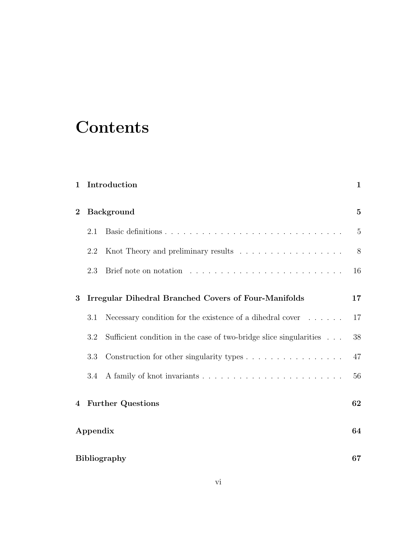### **Contents**

| $\mathbf{1}$ |                                                             | Introduction                                                            | $\mathbf{1}$   |
|--------------|-------------------------------------------------------------|-------------------------------------------------------------------------|----------------|
| $\bf{2}$     | <b>Background</b>                                           |                                                                         | $\overline{5}$ |
|              | 2.1                                                         |                                                                         | $\overline{5}$ |
|              | 2.2                                                         | Knot Theory and preliminary results                                     | 8              |
|              | 2.3                                                         |                                                                         | 16             |
| 3            | <b>Irregular Dihedral Branched Covers of Four-Manifolds</b> |                                                                         | 17             |
|              | 3.1                                                         | Necessary condition for the existence of a dihedral cover $\dots \dots$ | 17             |
|              | 3.2                                                         | Sufficient condition in the case of two-bridge slice singularities      | 38             |
|              | 3.3                                                         | Construction for other singularity types                                | 47             |
|              | 3.4                                                         |                                                                         | 56             |
| 4            | <b>Further Questions</b>                                    |                                                                         | 62             |
|              | Appendix                                                    |                                                                         |                |
|              | <b>Bibliography</b>                                         |                                                                         |                |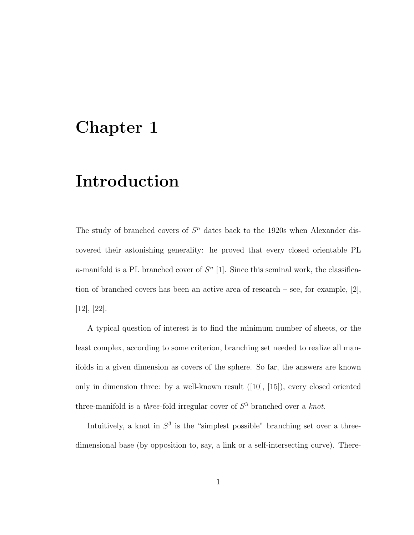### Chapter 1

### Introduction

The study of branched covers of  $S<sup>n</sup>$  dates back to the 1920s when Alexander discovered their astonishing generality: he proved that every closed orientable PL n-manifold is a PL branched cover of  $S<sup>n</sup>$  [1]. Since this seminal work, the classification of branched covers has been an active area of research – see, for example, [2], [12], [22].

A typical question of interest is to find the minimum number of sheets, or the least complex, according to some criterion, branching set needed to realize all manifolds in a given dimension as covers of the sphere. So far, the answers are known only in dimension three: by a well-known result ([10], [15]), every closed oriented three-manifold is a *three*-fold irregular cover of  $S<sup>3</sup>$  branched over a *knot*.

Intuitively, a knot in  $S^3$  is the "simplest possible" branching set over a threedimensional base (by opposition to, say, a link or a self-intersecting curve). There-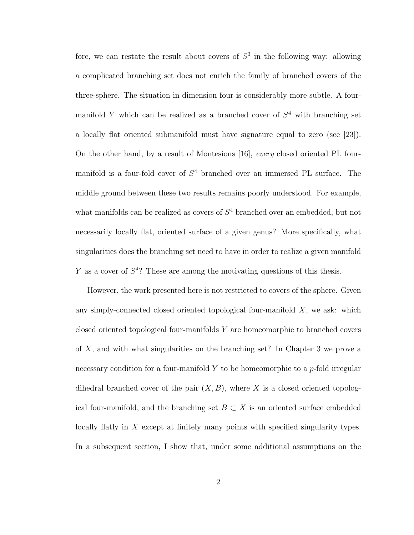fore, we can restate the result about covers of  $S<sup>3</sup>$  in the following way: allowing a complicated branching set does not enrich the family of branched covers of the three-sphere. The situation in dimension four is considerably more subtle. A fourmanifold Y which can be realized as a branched cover of  $S<sup>4</sup>$  with branching set a locally flat oriented submanifold must have signature equal to zero (see [23]). On the other hand, by a result of Montesions [16], every closed oriented PL fourmanifold is a four-fold cover of  $S<sup>4</sup>$  branched over an immersed PL surface. The middle ground between these two results remains poorly understood. For example, what manifolds can be realized as covers of  $S<sup>4</sup>$  branched over an embedded, but not necessarily locally flat, oriented surface of a given genus? More specifically, what singularities does the branching set need to have in order to realize a given manifold Y as a cover of  $S<sup>4</sup>$ ? These are among the motivating questions of this thesis.

However, the work presented here is not restricted to covers of the sphere. Given any simply-connected closed oriented topological four-manifold  $X$ , we ask: which closed oriented topological four-manifolds  $Y$  are homeomorphic to branched covers of X, and with what singularities on the branching set? In Chapter 3 we prove a necessary condition for a four-manifold Y to be homeomorphic to a  $p$ -fold irregular dihedral branched cover of the pair  $(X, B)$ , where X is a closed oriented topological four-manifold, and the branching set  $B \subset X$  is an oriented surface embedded locally flatly in X except at finitely many points with specified singularity types. In a subsequent section, I show that, under some additional assumptions on the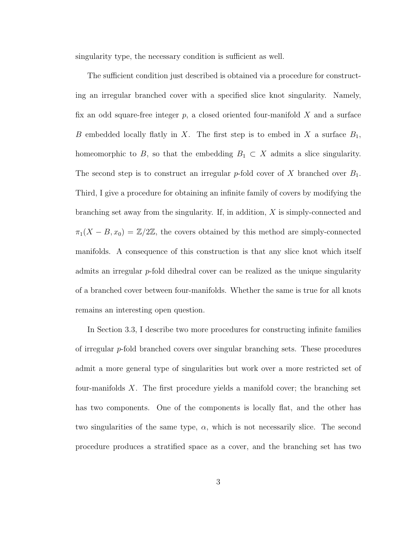singularity type, the necessary condition is sufficient as well.

The sufficient condition just described is obtained via a procedure for constructing an irregular branched cover with a specified slice knot singularity. Namely, fix an odd square-free integer  $p$ , a closed oriented four-manifold  $X$  and a surface B embedded locally flatly in X. The first step is to embed in X a surface  $B_1$ , homeomorphic to B, so that the embedding  $B_1 \subset X$  admits a slice singularity. The second step is to construct an irregular p-fold cover of X branched over  $B_1$ . Third, I give a procedure for obtaining an infinite family of covers by modifying the branching set away from the singularity. If, in addition,  $X$  is simply-connected and  $\pi_1(X - B, x_0) = \mathbb{Z}/2\mathbb{Z}$ , the covers obtained by this method are simply-connected manifolds. A consequence of this construction is that any slice knot which itself admits an irregular  $p$ -fold dihedral cover can be realized as the unique singularity of a branched cover between four-manifolds. Whether the same is true for all knots remains an interesting open question.

In Section 3.3, I describe two more procedures for constructing infinite families of irregular p-fold branched covers over singular branching sets. These procedures admit a more general type of singularities but work over a more restricted set of four-manifolds X. The first procedure yields a manifold cover; the branching set has two components. One of the components is locally flat, and the other has two singularities of the same type,  $\alpha$ , which is not necessarily slice. The second procedure produces a stratified space as a cover, and the branching set has two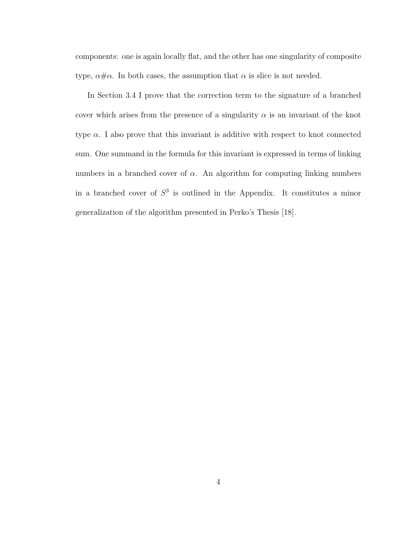components: one is again locally flat, and the other has one singularity of composite type,  $\alpha \# \alpha$ . In both cases, the assumption that  $\alpha$  is slice is not needed.

In Section 3.4 I prove that the correction term to the signature of a branched cover which arises from the presence of a singularity  $\alpha$  is an invariant of the knot type  $\alpha$ . I also prove that this invariant is additive with respect to knot connected sum. One summand in the formula for this invariant is expressed in terms of linking numbers in a branched cover of  $\alpha$ . An algorithm for computing linking numbers in a branched cover of  $S<sup>3</sup>$  is outlined in the Appendix. It constitutes a minor generalization of the algorithm presented in Perko's Thesis [18].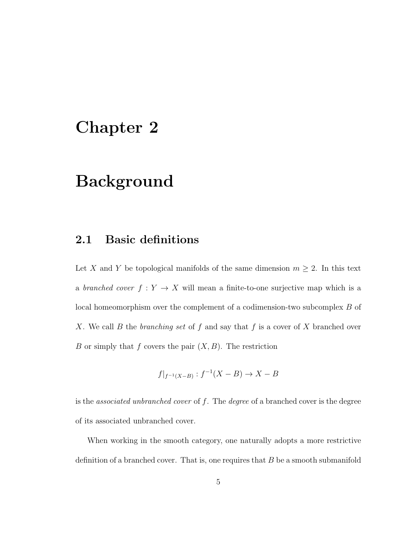### Chapter 2

### Background

#### 2.1 Basic definitions

Let X and Y be topological manifolds of the same dimension  $m \geq 2$ . In this text a branched cover  $f: Y \to X$  will mean a finite-to-one surjective map which is a local homeomorphism over the complement of a codimension-two subcomplex B of X. We call B the branching set of f and say that f is a cover of X branched over B or simply that f covers the pair  $(X, B)$ . The restriction

$$
f|_{f^{-1}(X-B)}: f^{-1}(X-B) \to X-B
$$

is the *associated unbranched cover* of  $f$ . The *degree* of a branched cover is the degree of its associated unbranched cover.

When working in the smooth category, one naturally adopts a more restrictive definition of a branched cover. That is, one requires that  $B$  be a smooth submanifold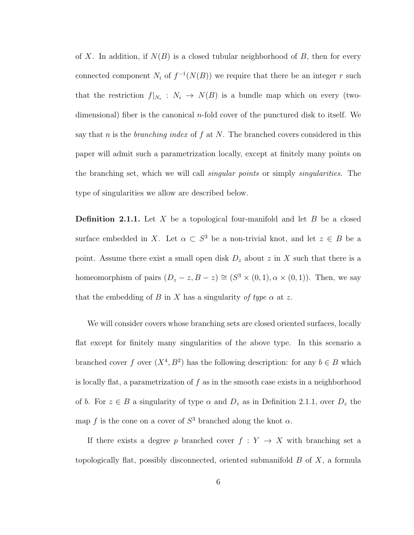of X. In addition, if  $N(B)$  is a closed tubular neighborhood of B, then for every connected component  $N_i$  of  $f^{-1}(N(B))$  we require that there be an integer r such that the restriction  $f|_{N_i}: N_i \to N(B)$  is a bundle map which on every (twodimensional) fiber is the canonical  $n$ -fold cover of the punctured disk to itself. We say that n is the *branching index* of f at N. The branched covers considered in this paper will admit such a parametrization locally, except at finitely many points on the branching set, which we will call *singular points* or simply *singularities*. The type of singularities we allow are described below.

**Definition 2.1.1.** Let X be a topological four-manifold and let B be a closed surface embedded in X. Let  $\alpha \subset S^3$  be a non-trivial knot, and let  $z \in B$  be a point. Assume there exist a small open disk  $D_z$  about z in X such that there is a homeomorphism of pairs  $(D_z - z, B - z) \cong (S^3 \times (0, 1), \alpha \times (0, 1))$ . Then, we say that the embedding of B in X has a singularity of type  $\alpha$  at z.

We will consider covers whose branching sets are closed oriented surfaces, locally flat except for finitely many singularities of the above type. In this scenario a branched cover f over  $(X^4, B^2)$  has the following description: for any  $b \in B$  which is locally flat, a parametrization of  $f$  as in the smooth case exists in a neighborhood of b. For  $z \in B$  a singularity of type  $\alpha$  and  $D_z$  as in Definition 2.1.1, over  $D_z$  the map f is the cone on a cover of  $S^3$  branched along the knot  $\alpha$ .

If there exists a degree p branched cover  $f: Y \rightarrow X$  with branching set a topologically flat, possibly disconnected, oriented submanifold B of X, a formula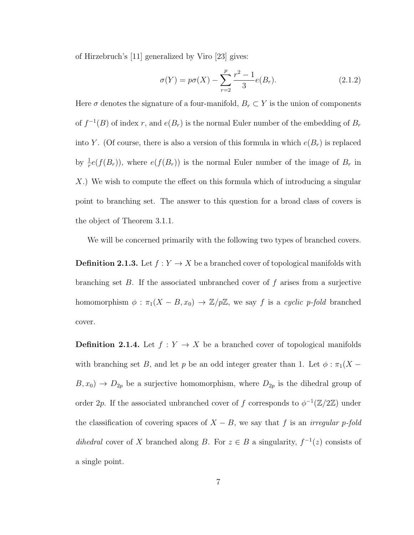of Hirzebruch's [11] generalized by Viro [23] gives:

$$
\sigma(Y) = p\sigma(X) - \sum_{r=2}^{p} \frac{r^2 - 1}{3} e(B_r).
$$
 (2.1.2)

Here  $\sigma$  denotes the signature of a four-manifold,  $B_r \subset Y$  is the union of components of  $f^{-1}(B)$  of index r, and  $e(B_r)$  is the normal Euler number of the embedding of  $B_r$ into Y. (Of course, there is also a version of this formula in which  $e(B_r)$  is replaced by  $\frac{1}{r}e(f(B_r))$ , where  $e(f(B_r))$  is the normal Euler number of the image of  $B_r$  in X.) We wish to compute the effect on this formula which of introducing a singular point to branching set. The answer to this question for a broad class of covers is the object of Theorem 3.1.1.

We will be concerned primarily with the following two types of branched covers.

**Definition 2.1.3.** Let  $f: Y \to X$  be a branched cover of topological manifolds with branching set  $B$ . If the associated unbranched cover of  $f$  arises from a surjective homomorphism  $\phi : \pi_1(X - B, x_0) \to \mathbb{Z}/p\mathbb{Z}$ , we say f is a cyclic p-fold branched cover.

**Definition 2.1.4.** Let  $f: Y \to X$  be a branched cover of topological manifolds with branching set B, and let p be an odd integer greater than 1. Let  $\phi : \pi_1(X B, x_0$   $\rightarrow$   $D_{2p}$  be a surjective homomorphism, where  $D_{2p}$  is the dihedral group of order 2p. If the associated unbranched cover of f corresponds to  $\phi^{-1}(\mathbb{Z}/2\mathbb{Z})$  under the classification of covering spaces of  $X - B$ , we say that f is an *irregular p-fold* dihedral cover of X branched along B. For  $z \in B$  a singularity,  $f^{-1}(z)$  consists of a single point.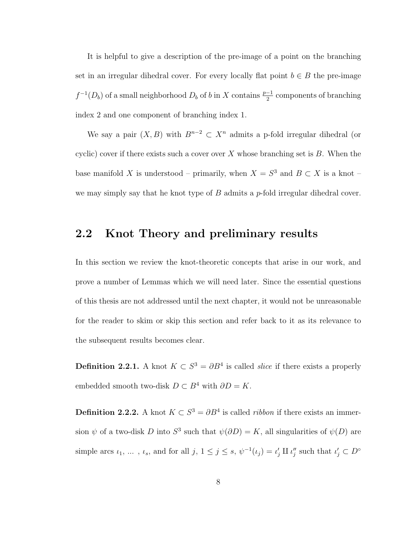It is helpful to give a description of the pre-image of a point on the branching set in an irregular dihedral cover. For every locally flat point  $b \in B$  the pre-image  $f^{-1}(D_b)$  of a small neighborhood  $D_b$  of b in X contains  $\frac{p-1}{2}$  components of branching index 2 and one component of branching index 1.

We say a pair  $(X, B)$  with  $B^{n-2} \subset X^n$  admits a p-fold irregular dihedral (or cyclic) cover if there exists such a cover over  $X$  whose branching set is  $B$ . When the base manifold X is understood – primarily, when  $X = S^3$  and  $B \subset X$  is a knot – we may simply say that he knot type of  $B$  admits a  $p$ -fold irregular dihedral cover.

### 2.2 Knot Theory and preliminary results

In this section we review the knot-theoretic concepts that arise in our work, and prove a number of Lemmas which we will need later. Since the essential questions of this thesis are not addressed until the next chapter, it would not be unreasonable for the reader to skim or skip this section and refer back to it as its relevance to the subsequent results becomes clear.

**Definition 2.2.1.** A knot  $K \subset S^3 = \partial B^4$  is called *slice* if there exists a properly embedded smooth two-disk  $D \subset B^4$  with  $\partial D = K$ .

**Definition 2.2.2.** A knot  $K \subset S^3 = \partial B^4$  is called *ribbon* if there exists an immersion  $\psi$  of a two-disk D into  $S^3$  such that  $\psi(\partial D) = K$ , all singularities of  $\psi(D)$  are simple arcs  $\iota_1, \ldots, \iota_s$ , and for all  $j, 1 \leq j \leq s$ ,  $\psi^{-1}(\iota_j) = \iota'_j \amalg \iota''_j$  such that  $\iota'_j \subset D^{\circ}$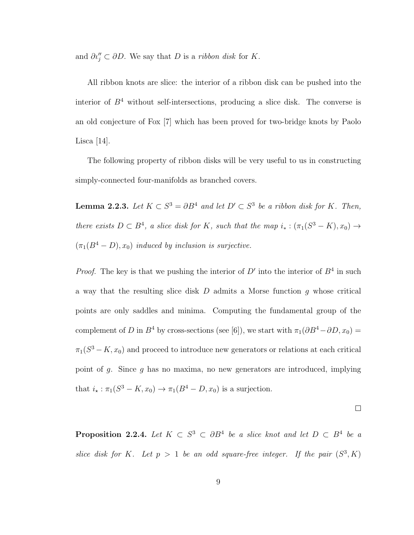and  $\partial u''_j \subset \partial D$ . We say that D is a ribbon disk for K.

All ribbon knots are slice: the interior of a ribbon disk can be pushed into the interior of  $B<sup>4</sup>$  without self-intersections, producing a slice disk. The converse is an old conjecture of Fox [7] which has been proved for two-bridge knots by Paolo Lisca [14].

The following property of ribbon disks will be very useful to us in constructing simply-connected four-manifolds as branched covers.

**Lemma 2.2.3.** Let  $K \subset S^3 = \partial B^4$  and let  $D' \subset S^3$  be a ribbon disk for K. Then, there exists  $D \subset B^4$ , a slice disk for K, such that the map  $i_* : (\pi_1(S^3 - K), x_0) \to$  $(\pi_1(B^4 - D), x_0)$  induced by inclusion is surjective.

*Proof.* The key is that we pushing the interior of  $D'$  into the interior of  $B^4$  in such a way that the resulting slice disk  $D$  admits a Morse function  $g$  whose critical points are only saddles and minima. Computing the fundamental group of the complement of D in  $B^4$  by cross-sections (see [6]), we start with  $\pi_1(\partial B^4-\partial D, x_0)$  =  $\pi_1(S^3 - K, x_0)$  and proceed to introduce new generators or relations at each critical point of g. Since g has no maxima, no new generators are introduced, implying that  $i_* : \pi_1(S^3 - K, x_0) \to \pi_1(B^4 - D, x_0)$  is a surjection.

 $\Box$ 

**Proposition 2.2.4.** Let  $K \subset S^3 \subset \partial B^4$  be a slice knot and let  $D \subset B^4$  be a slice disk for K. Let  $p > 1$  be an odd square-free integer. If the pair  $(S^3, K)$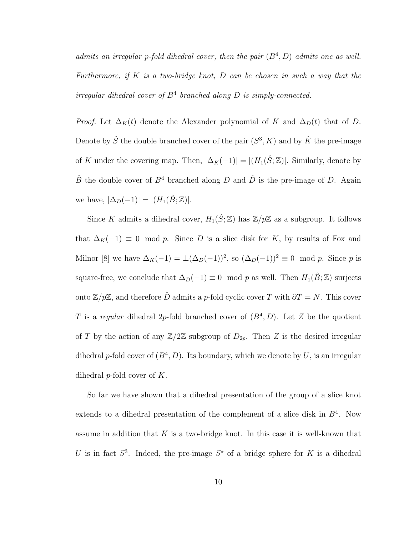admits an irregular p-fold dihedral cover, then the pair  $(B<sup>4</sup>, D)$  admits one as well. Furthermore, if  $K$  is a two-bridge knot,  $D$  can be chosen in such a way that the irregular dihedral cover of  $B<sup>4</sup>$  branched along D is simply-connected.

*Proof.* Let  $\Delta_K(t)$  denote the Alexander polynomial of K and  $\Delta_D(t)$  that of D. Denote by  $\hat{S}$  the double branched cover of the pair  $(S^3, K)$  and by  $\hat{K}$  the pre-image of K under the covering map. Then,  $|\Delta_K(-1)| = |(H_1(\hat{S}; \mathbb{Z}))|$ . Similarly, denote by  $\hat{B}$  the double cover of  $B^4$  branched along D and  $\hat{D}$  is the pre-image of D. Again we have,  $|\Delta_D(-1)| = |(H_1(\hat{B}; \mathbb{Z}))|$ .

Since K admits a dihedral cover,  $H_1(\hat{S}; \mathbb{Z})$  has  $\mathbb{Z}/p\mathbb{Z}$  as a subgroup. It follows that  $\Delta_K(-1) \equiv 0 \mod p$ . Since D is a slice disk for K, by results of Fox and Milnor [8] we have  $\Delta_K(-1) = \pm (\Delta_D(-1))^2$ , so  $(\Delta_D(-1))^2 \equiv 0 \mod p$ . Since p is square-free, we conclude that  $\Delta_D(-1) \equiv 0 \mod p$  as well. Then  $H_1(\hat{B}; \mathbb{Z})$  surjects onto  $\mathbb{Z}/p\mathbb{Z}$ , and therefore  $\hat{D}$  admits a p-fold cyclic cover T with  $\partial T = N$ . This cover T is a regular dihedral 2p-fold branched cover of  $(B^4, D)$ . Let Z be the quotient of T by the action of any  $\mathbb{Z}/2\mathbb{Z}$  subgroup of  $D_{2p}$ . Then Z is the desired irregular dihedral p-fold cover of  $(B^4, D)$ . Its boundary, which we denote by U, is an irregular dihedral  $p$ -fold cover of  $K$ .

So far we have shown that a dihedral presentation of the group of a slice knot extends to a dihedral presentation of the complement of a slice disk in  $B<sup>4</sup>$ . Now assume in addition that  $K$  is a two-bridge knot. In this case it is well-known that U is in fact  $S^3$ . Indeed, the pre-image  $S^*$  of a bridge sphere for K is a dihedral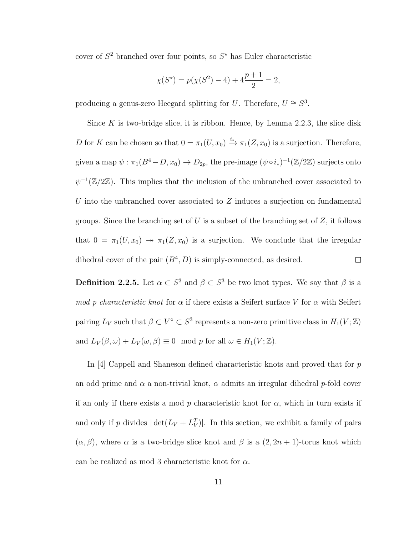cover of  $S^2$  branched over four points, so  $S^*$  has Euler characteristic

$$
\chi(S^*) = p(\chi(S^2) - 4) + 4\frac{p+1}{2} = 2,
$$

producing a genus-zero Heegard splitting for U. Therefore,  $U \cong S^3$ .

Since  $K$  is two-bridge slice, it is ribbon. Hence, by Lemma 2.2.3, the slice disk D for K can be chosen so that  $0 = \pi_1(U, x_0) \stackrel{i_*}{\longrightarrow} \pi_1(Z, x_0)$  is a surjection. Therefore, given a map  $\psi : \pi_1(B^4 - D, x_0) \to D_{2p}$ , the pre-image  $(\psi \circ i_*)^{-1}(\mathbb{Z}/2\mathbb{Z})$  surjects onto  $\psi^{-1}(\mathbb{Z}/2\mathbb{Z})$ . This implies that the inclusion of the unbranched cover associated to U into the unbranched cover associated to  $Z$  induces a surjection on fundamental groups. Since the branching set of U is a subset of the branching set of  $Z$ , it follows that  $0 = \pi_1(U, x_0) \rightarrow \pi_1(Z, x_0)$  is a surjection. We conclude that the irregular dihedral cover of the pair  $(B<sup>4</sup>, D)$  is simply-connected, as desired.  $\Box$ 

**Definition 2.2.5.** Let  $\alpha \subset S^3$  and  $\beta \subset S^3$  be two knot types. We say that  $\beta$  is a mod p characteristic knot for  $\alpha$  if there exists a Seifert surface V for  $\alpha$  with Seifert pairing  $L_V$  such that  $\beta \subset V^{\circ} \subset S^3$  represents a non-zero primitive class in  $H_1(V;\mathbb{Z})$ and  $L_V(\beta,\omega) + L_V(\omega,\beta) \equiv 0 \mod p$  for all  $\omega \in H_1(V;\mathbb{Z})$ .

In [4] Cappell and Shaneson defined characteristic knots and proved that for p an odd prime and  $\alpha$  a non-trivial knot,  $\alpha$  admits an irregular dihedral p-fold cover if an only if there exists a mod p characteristic knot for  $\alpha$ , which in turn exists if and only if p divides  $|\det(L_V + L_V^T)|$ . In this section, we exhibit a family of pairs  $(\alpha, \beta)$ , where  $\alpha$  is a two-bridge slice knot and  $\beta$  is a  $(2, 2n + 1)$ -torus knot which can be realized as mod 3 characteristic knot for  $\alpha$ .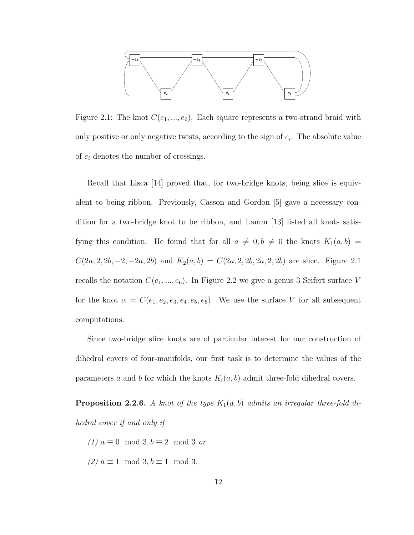

Figure 2.1: The knot  $C(e_1, ..., e_6)$ . Each square represents a two-strand braid with only positive or only negative twists, according to the sign of  $e_i$ . The absolute value of  $e_i$  denotes the number of crossings.

Recall that Lisca [14] proved that, for two-bridge knots, being slice is equivalent to being ribbon. Previously, Casson and Gordon [5] gave a necessary condition for a two-bridge knot to be ribbon, and Lamm [13] listed all knots satisfying this condition. He found that for all  $a \neq 0, b \neq 0$  the knots  $K_1(a, b)$  =  $C(2a, 2, 2b, -2, -2a, 2b)$  and  $K_2(a, b) = C(2a, 2, 2b, 2a, 2, 2b)$  are slice. Figure 2.1 recalls the notation  $C(e_1, ..., e_6)$ . In Figure 2.2 we give a genus 3 Seifert surface V for the knot  $\alpha = C(e_1, e_2, e_3, e_4, e_5, e_6)$ . We use the surface V for all subsequent computations.

Since two-bridge slice knots are of particular interest for our construction of dihedral covers of four-manifolds, our first task is to determine the values of the parameters a and b for which the knots  $K_i(a, b)$  admit three-fold dihedral covers.

**Proposition 2.2.6.** A knot of the type  $K_1(a, b)$  admits an irregular three-fold dihedral cover if and only if

(1)  $a \equiv 0 \mod 3, b \equiv 2 \mod 3$  or (2)  $a \equiv 1 \mod 3, b \equiv 1 \mod 3$ .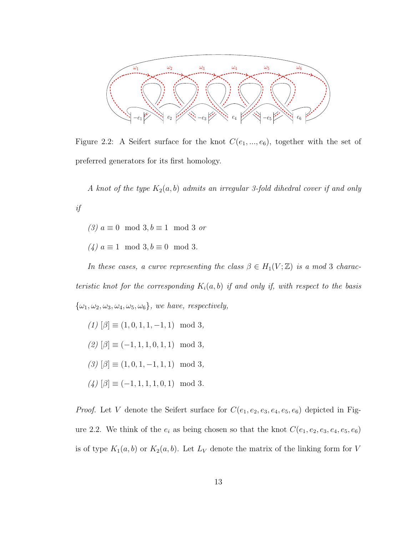

Figure 2.2: A Seifert surface for the knot  $C(e_1, ..., e_6)$ , together with the set of preferred generators for its first homology.

A knot of the type  $K_2(a, b)$  admits an irregular 3-fold dihedral cover if and only if

(3)  $a \equiv 0 \mod 3, b \equiv 1 \mod 3$  or

 $(4) \ a \equiv 1 \mod 3, b \equiv 0 \mod 3.$ 

In these cases, a curve representing the class  $\beta \in H_1(V;\mathbb{Z})$  is a mod 3 characteristic knot for the corresponding  $K_i(a, b)$  if and only if, with respect to the basis  $\{\omega_1, \omega_2, \omega_3, \omega_4, \omega_5, \omega_6\}$ , we have, respectively,

(1)  $[\beta] \equiv (1, 0, 1, 1, -1, 1) \mod 3,$  $(2)$   $[\beta] \equiv (-1, 1, 1, 0, 1, 1) \mod 3,$  $(3) [\beta] \equiv (1, 0, 1, -1, 1, 1) \mod 3,$  $(4) [\beta] \equiv (-1, 1, 1, 1, 0, 1) \mod 3.$ 

*Proof.* Let V denote the Seifert surface for  $C(e_1, e_2, e_3, e_4, e_5, e_6)$  depicted in Figure 2.2. We think of the  $e_i$  as being chosen so that the knot  $C(e_1, e_2, e_3, e_4, e_5, e_6)$ is of type  $K_1(a, b)$  or  $K_2(a, b)$ . Let  $L_V$  denote the matrix of the linking form for V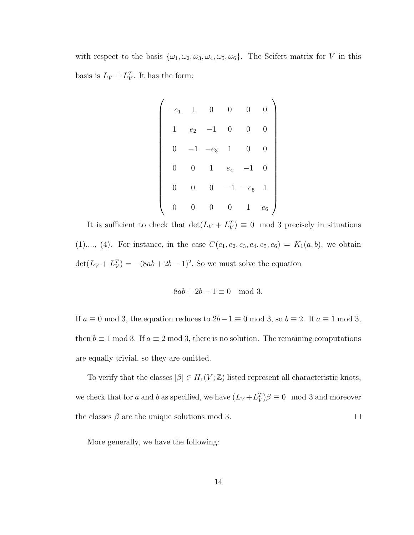with respect to the basis  $\{\omega_1, \omega_2, \omega_3, \omega_4, \omega_5, \omega_6\}$ . The Seifert matrix for V in this basis is  $L_V + L_V^T$ . It has the form:

$$
\begin{pmatrix}\n-e_1 & 1 & 0 & 0 & 0 & 0 \\
1 & e_2 & -1 & 0 & 0 & 0 \\
0 & -1 & -e_3 & 1 & 0 & 0 \\
0 & 0 & 1 & e_4 & -1 & 0 \\
0 & 0 & 0 & -1 & -e_5 & 1 \\
0 & 0 & 0 & 0 & 1 & e_6\n\end{pmatrix}
$$

It is sufficient to check that  $\det(L_V + L_V^T) \equiv 0 \mod 3$  precisely in situations (1),..., (4). For instance, in the case  $C(e_1, e_2, e_3, e_4, e_5, e_6) = K_1(a, b)$ , we obtain  $\det(L_V + L_V^T) = -(8ab + 2b - 1)^2$ . So we must solve the equation

$$
8ab + 2b - 1 \equiv 0 \mod 3.
$$

If  $a \equiv 0 \mod 3$ , the equation reduces to  $2b-1 \equiv 0 \mod 3$ , so  $b \equiv 2$ . If  $a \equiv 1 \mod 3$ , then  $b \equiv 1 \mod 3$ . If  $a \equiv 2 \mod 3$ , there is no solution. The remaining computations are equally trivial, so they are omitted.

To verify that the classes  $[\beta] \in H_1(V;\mathbb{Z})$  listed represent all characteristic knots, we check that for a and b as specified, we have  $(L_V + L_V^T)\beta \equiv 0 \mod 3$  and moreover  $\Box$ the classes  $\beta$  are the unique solutions mod 3.

More generally, we have the following: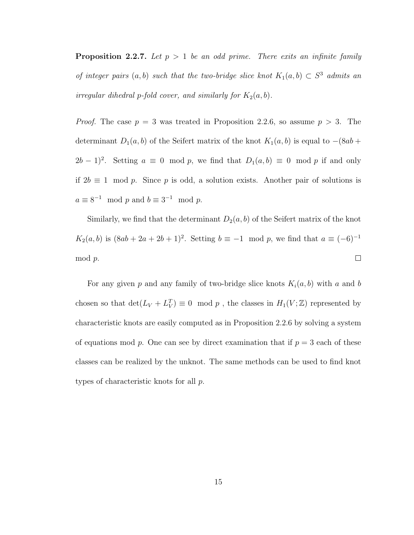**Proposition 2.2.7.** Let  $p > 1$  be an odd prime. There exits an infinite family of integer pairs  $(a, b)$  such that the two-bridge slice knot  $K_1(a, b) \subset S^3$  admits an irregular dihedral p-fold cover, and similarly for  $K_2(a, b)$ .

*Proof.* The case  $p = 3$  was treated in Proposition 2.2.6, so assume  $p > 3$ . The determinant  $D_1(a, b)$  of the Seifert matrix of the knot  $K_1(a, b)$  is equal to  $-(8ab +$  $(2b-1)^2$ . Setting  $a \equiv 0 \mod p$ , we find that  $D_1(a, b) \equiv 0 \mod p$  if and only if 2b ≡ 1 mod p. Since p is odd, a solution exists. Another pair of solutions is  $a \equiv 8^{-1} \mod p$  and  $b \equiv 3^{-1} \mod p$ .

Similarly, we find that the determinant  $D_2(a, b)$  of the Seifert matrix of the knot  $K_2(a, b)$  is  $(8ab + 2a + 2b + 1)^2$ . Setting  $b \equiv -1 \mod p$ , we find that  $a \equiv (-6)^{-1}$ mod p.  $\Box$ 

For any given p and any family of two-bridge slice knots  $K_i(a, b)$  with a and b chosen so that  $\det(L_V + L_V^T) \equiv 0 \mod p$ , the classes in  $H_1(V; \mathbb{Z})$  represented by characteristic knots are easily computed as in Proposition 2.2.6 by solving a system of equations mod p. One can see by direct examination that if  $p = 3$  each of these classes can be realized by the unknot. The same methods can be used to find knot types of characteristic knots for all p.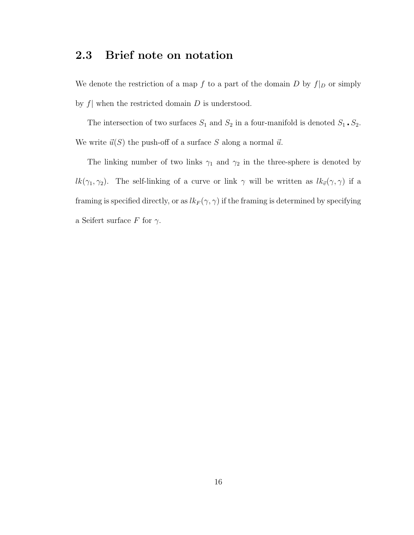### 2.3 Brief note on notation

We denote the restriction of a map f to a part of the domain D by  $f|_D$  or simply by  $f$  when the restricted domain  $D$  is understood.

The intersection of two surfaces  $S_1$  and  $S_2$  in a four-manifold is denoted  $S_1 \cdot S_2$ . We write  $\vec{u}(S)$  the push-off of a surface S along a normal  $\vec{u}$ .

The linking number of two links  $\gamma_1$  and  $\gamma_2$  in the three-sphere is denoted by  $lk(\gamma_1, \gamma_2)$ . The self-linking of a curve or link  $\gamma$  will be written as  $lk_{\vec{v}}(\gamma, \gamma)$  if a framing is specified directly, or as  $lk_F (\gamma, \gamma)$  if the framing is determined by specifying a Seifert surface F for  $\gamma$ .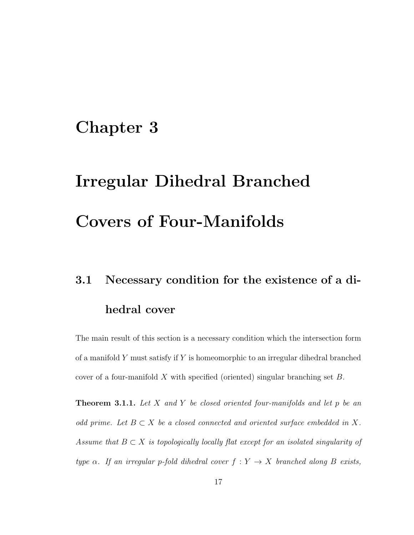### Chapter 3

# Irregular Dihedral Branched Covers of Four-Manifolds

## 3.1 Necessary condition for the existence of a dihedral cover

The main result of this section is a necessary condition which the intersection form of a manifold  $Y$  must satisfy if  $Y$  is homeomorphic to an irregular dihedral branched cover of a four-manifold X with specified (oriented) singular branching set  $B$ .

**Theorem 3.1.1.** Let X and Y be closed oriented four-manifolds and let p be an odd prime. Let  $B \subset X$  be a closed connected and oriented surface embedded in X. Assume that  $B \subset X$  is topologically locally flat except for an isolated singularity of type  $\alpha$ . If an irregular p-fold dihedral cover  $f: Y \rightarrow X$  branched along B exists,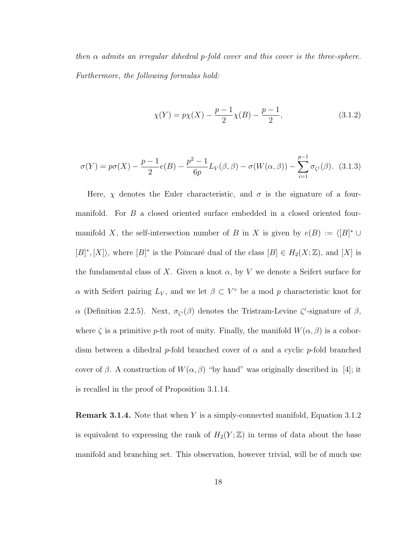then  $\alpha$  admits an irregular dihedral p-fold cover and this cover is the three-sphere. Furthermore, the following formulas hold:

$$
\chi(Y) = p\chi(X) - \frac{p-1}{2}\chi(B) - \frac{p-1}{2},\tag{3.1.2}
$$

$$
\sigma(Y) = p\sigma(X) - \frac{p-1}{2}e(B) - \frac{p^2 - 1}{6p}L_V(\beta, \beta) - \sigma(W(\alpha, \beta)) - \sum_{i=1}^{p-1} \sigma_{\zeta^i}(\beta). \tag{3.1.3}
$$

Here,  $\chi$  denotes the Euler characteristic, and  $\sigma$  is the signature of a fourmanifold. For B a closed oriented surface embedded in a closed oriented fourmanifold X, the self-intersection number of B in X is given by  $e(B) := \langle [B]^* \cup$  $[B]^*, [X]$ , where  $[B]^*$  is the Poincaré dual of the class  $[B] \in H_2(X; \mathbb{Z})$ , and  $[X]$  is the fundamental class of X. Given a knot  $\alpha$ , by V we denote a Seifert surface for  $\alpha$  with Seifert pairing  $L_V$ , and we let  $\beta \subset V^{\circ}$  be a mod p characteristic knot for α (Definition 2.2.5). Next,  $\sigma_{\zeta_i}(\beta)$  denotes the Tristram-Levine  $\zeta^i$ -signature of  $\beta$ , where  $\zeta$  is a primitive p-th root of unity. Finally, the manifold  $W(\alpha, \beta)$  is a cobordism between a dihedral p-fold branched cover of  $\alpha$  and a cyclic p-fold branched cover of β. A construction of  $W(\alpha, \beta)$  "by hand" was originally described in [4]; it is recalled in the proof of Proposition 3.1.14.

**Remark 3.1.4.** Note that when Y is a simply-connected manifold, Equation 3.1.2 is equivalent to expressing the rank of  $H_2(Y;\mathbb{Z})$  in terms of data about the base manifold and branching set. This observation, however trivial, will be of much use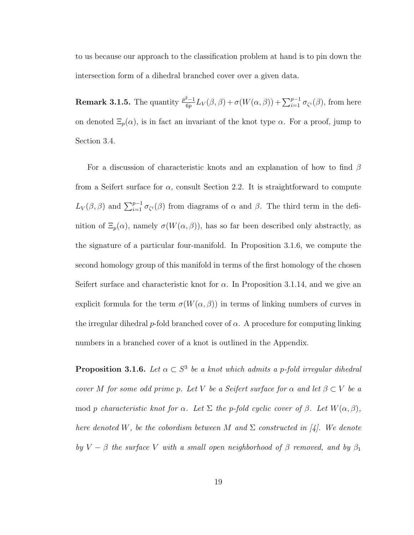to us because our approach to the classification problem at hand is to pin down the intersection form of a dihedral branched cover over a given data.

**Remark 3.1.5.** The quantity  $\frac{p^2-1}{6p}$  $\frac{\partial^2-1}{\partial p}L_V(\beta,\beta)+\sigma(W(\alpha,\beta))+\sum_{i=1}^{p-1}\sigma_{\zeta^i}(\beta)$ , from here on denoted  $\Xi_p(\alpha)$ , is in fact an invariant of the knot type  $\alpha$ . For a proof, jump to Section 3.4.

For a discussion of characteristic knots and an explanation of how to find  $\beta$ from a Seifert surface for  $\alpha$ , consult Section 2.2. It is straightforward to compute  $L_V(\beta, \beta)$  and  $\sum_{i=1}^{p-1} \sigma_{\zeta_i}(\beta)$  from diagrams of  $\alpha$  and  $\beta$ . The third term in the definition of  $\Xi_p(\alpha)$ , namely  $\sigma(W(\alpha, \beta))$ , has so far been described only abstractly, as the signature of a particular four-manifold. In Proposition 3.1.6, we compute the second homology group of this manifold in terms of the first homology of the chosen Seifert surface and characteristic knot for  $\alpha$ . In Proposition 3.1.14, and we give an explicit formula for the term  $\sigma(W(\alpha, \beta))$  in terms of linking numbers of curves in the irregular dihedral p-fold branched cover of  $\alpha$ . A procedure for computing linking numbers in a branched cover of a knot is outlined in the Appendix.

**Proposition 3.1.6.** Let  $\alpha \subset S^3$  be a knot which admits a p-fold irregular dihedral cover M for some odd prime p. Let V be a Seifert surface for  $\alpha$  and let  $\beta \subset V$  be a mod p characteristic knot for  $\alpha$ . Let  $\Sigma$  the p-fold cyclic cover of  $\beta$ . Let  $W(\alpha, \beta)$ , here denoted W, be the cobordism between M and  $\Sigma$  constructed in [4]. We denote by  $V - \beta$  the surface V with a small open neighborhood of  $\beta$  removed, and by  $\beta_1$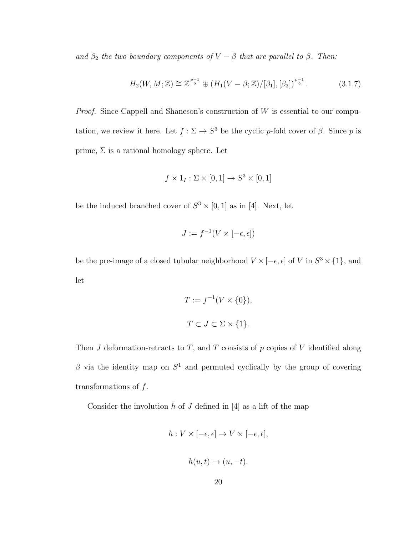and  $\beta_2$  the two boundary components of  $V - \beta$  that are parallel to  $\beta$ . Then:

$$
H_2(W, M; \mathbb{Z}) \cong \mathbb{Z}^{\frac{p-1}{2}} \oplus (H_1(V - \beta; \mathbb{Z})/[\beta_1], [\beta_2])^{\frac{p-1}{2}}.
$$
 (3.1.7)

*Proof.* Since Cappell and Shaneson's construction of  $W$  is essential to our computation, we review it here. Let  $f : \Sigma \to S^3$  be the cyclic p-fold cover of  $\beta$ . Since p is prime,  $\Sigma$  is a rational homology sphere. Let

$$
f \times 1_I : \Sigma \times [0,1] \to S^3 \times [0,1]
$$

be the induced branched cover of  $S^3 \times [0,1]$  as in [4]. Next, let

$$
J:=f^{-1}(V\times [-\epsilon,\epsilon])
$$

be the pre-image of a closed tubular neighborhood  $V \times [-\epsilon, \epsilon]$  of V in  $S^3 \times \{1\}$ , and let

$$
T := f^{-1}(V \times \{0\}),
$$
  

$$
T \subset J \subset \Sigma \times \{1\}.
$$

Then  $J$  deformation-retracts to  $T$ , and  $T$  consists of  $p$  copies of  $V$  identified along β via the identity map on  $S<sup>1</sup>$  and permuted cyclically by the group of covering transformations of  $f$ .

Consider the involution  $\bar{h}$  of J defined in [4] as a lift of the map

$$
h: V \times [-\epsilon, \epsilon] \to V \times [-\epsilon, \epsilon],
$$
  

$$
h(u, t) \mapsto (u, -t).
$$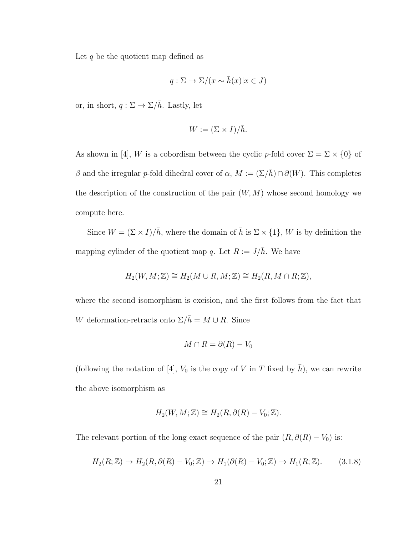Let  $q$  be the quotient map defined as

$$
q: \Sigma \to \Sigma/(x \sim \bar{h}(x)|x \in J)
$$

or, in short,  $q: \Sigma \to \Sigma / \bar{h}$ . Lastly, let

$$
W := (\Sigma \times I) / \overline{h}.
$$

As shown in [4], W is a cobordism between the cyclic p-fold cover  $\Sigma = \Sigma \times \{0\}$  of β and the irregular p-fold dihedral cover of  $\alpha$ ,  $M := (\Sigma/\bar{h}) \cap \partial(W)$ . This completes the description of the construction of the pair  $(W, M)$  whose second homology we compute here.

Since  $W = (\Sigma \times I)/\bar{h}$ , where the domain of  $\bar{h}$  is  $\Sigma \times \{1\}$ , W is by definition the mapping cylinder of the quotient map q. Let  $R := J/\bar{h}$ . We have

$$
H_2(W, M; \mathbb{Z}) \cong H_2(M \cup R, M; \mathbb{Z}) \cong H_2(R, M \cap R; \mathbb{Z}),
$$

where the second isomorphism is excision, and the first follows from the fact that W deformation-retracts onto  $\Sigma/\bar{h} = M \cup R$ . Since

$$
M \cap R = \partial(R) - V_0
$$

(following the notation of [4],  $V_0$  is the copy of V in T fixed by  $\bar{h}$ ), we can rewrite the above isomorphism as

$$
H_2(W, M; \mathbb{Z}) \cong H_2(R, \partial(R) - V_0; \mathbb{Z}).
$$

The relevant portion of the long exact sequence of the pair  $(R, \partial(R) - V_0)$  is:

$$
H_2(R; \mathbb{Z}) \to H_2(R, \partial(R) - V_0; \mathbb{Z}) \to H_1(\partial(R) - V_0; \mathbb{Z}) \to H_1(R; \mathbb{Z}). \tag{3.1.8}
$$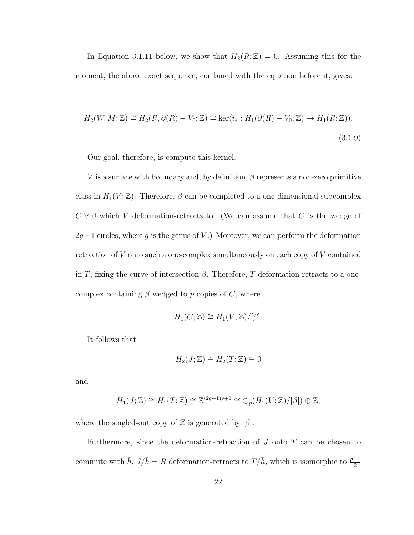In Equation 3.1.11 below, we show that  $H_2(R;\mathbb{Z})=0$ . Assuming this for the moment, the above exact sequence, combined with the equation before it, gives:

$$
H_2(W, M; \mathbb{Z}) \cong H_2(R, \partial(R) - V_0; \mathbb{Z}) \cong \ker(i_* : H_1(\partial(R) - V_0; \mathbb{Z}) \to H_1(R; \mathbb{Z})).
$$
\n(3.1.9)

Our goal, therefore, is compute this kernel.

V is a surface with boundary and, by definition,  $\beta$  represents a non-zero primitive class in  $H_1(V;\mathbb{Z})$ . Therefore,  $\beta$  can be completed to a one-dimensional subcomplex  $C \vee \beta$  which V deformation-retracts to. (We can assume that C is the wedge of  $2g-1$  circles, where g is the genus of V.) Moreover, we can perform the deformation retraction of V onto such a one-complex simultaneously on each copy of V contained in T, fixing the curve of intersection  $\beta$ . Therefore, T deformation-retracts to a onecomplex containing  $\beta$  wedged to p copies of C, where

$$
H_1(C; \mathbb{Z}) \cong H_1(V; \mathbb{Z})/[\beta].
$$

It follows that

$$
H_2(J; \mathbb{Z}) \cong H_2(T; \mathbb{Z}) \cong 0
$$

and

$$
H_1(J; \mathbb{Z}) \cong H_1(T; \mathbb{Z}) \cong \mathbb{Z}^{(2g-1)p+1} \cong \bigoplus_p (H_1(V; \mathbb{Z})/[\beta]) \oplus \mathbb{Z},
$$

where the singled-out copy of  $\mathbb Z$  is generated by  $[\beta]$ .

Furthermore, since the deformation-retraction of  $J$  onto  $T$  can be chosen to commute with  $\bar{h}$ ,  $J/\bar{h} = R$  deformation-retracts to  $T/\bar{h}$ , which is isomorphic to  $\frac{p+1}{2}$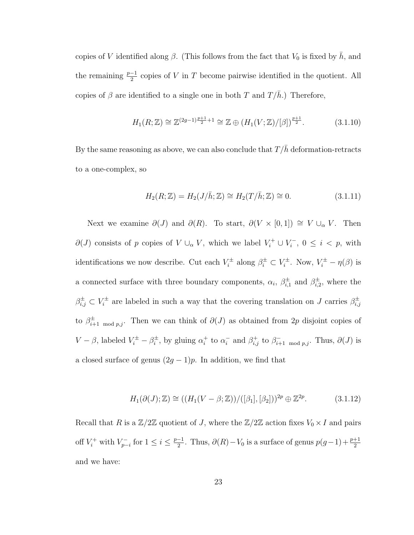copies of V identified along  $\beta$ . (This follows from the fact that  $V_0$  is fixed by  $\bar{h}$ , and the remaining  $\frac{p-1}{2}$  copies of V in T become pairwise identified in the quotient. All copies of  $\beta$  are identified to a single one in both T and  $T/\bar{h}$ .) Therefore,

$$
H_1(R; \mathbb{Z}) \cong \mathbb{Z}^{(2g-1)\frac{p+1}{2}+1} \cong \mathbb{Z} \oplus (H_1(V; \mathbb{Z})/[\beta])^{\frac{p+1}{2}}.
$$
 (3.1.10)

By the same reasoning as above, we can also conclude that  $T/\bar{h}$  deformation-retracts to a one-complex, so

$$
H_2(R; \mathbb{Z}) = H_2(J/\bar{h}; \mathbb{Z}) \cong H_2(T/\bar{h}; \mathbb{Z}) \cong 0.
$$
 (3.1.11)

Next we examine  $\partial(J)$  and  $\partial(R)$ . To start,  $\partial(V \times [0,1]) \cong V \cup_{\alpha} V$ . Then  $\partial(J)$  consists of p copies of  $V \cup_{\alpha} V$ , which we label  $V_i^+ \cup V_i^$  $i^-, 0 \leq i < p$ , with identifications we now describe. Cut each  $V_i^{\pm}$  $\chi_i^{\pm}$  along  $\beta_i^{\pm} \subset V_i^{\pm}$  $V_i^{\pm}$ . Now,  $V_i^{\pm} - \eta(\beta)$  is a connected surface with three boundary components,  $\alpha_i$ ,  $\beta_{i,j}^{\pm}$  $_{i,1}^{\pm}$  and  $\beta_{i,2}^{\pm}$  $_{i,2}^{\pm}$ , where the  $\beta_{i,j}^{\pm} \subset V_i^{\pm}$  $\mathcal{E}_i^{\pm}$  are labeled in such a way that the covering translation on J carries  $\beta_{i,j}^{\pm}$  $_{i,j}$ to  $\beta_{i+1 \mod p,j}^{\pm}$ . Then we can think of  $\partial(J)$  as obtained from 2p disjoint copies of  $V - \beta$ , labeled  $V_i^{\pm} - \beta_i^{\pm}$  $i^{\pm}$ , by gluing  $\alpha_i^+$  $i^+$  to  $\alpha_i^ \bar{i}$  and  $\beta^+_{i,j}$  to  $\beta^-_{i+1 \mod p,j}$ . Thus,  $\partial(J)$  is a closed surface of genus  $(2g - 1)p$ . In addition, we find that

$$
H_1(\partial(J); \mathbb{Z}) \cong ((H_1(V - \beta; \mathbb{Z})) / ([\beta_1], [\beta_2]))^{2p} \oplus \mathbb{Z}^{2p}.
$$
 (3.1.12)

Recall that R is a  $\mathbb{Z}/2\mathbb{Z}$  quotient of J, where the  $\mathbb{Z}/2\mathbb{Z}$  action fixes  $V_0 \times I$  and pairs off  $V_i^+$  with  $V_{p-}^ \sum_{p-i}^{r-1}$  for  $1 \leq i \leq \frac{p-1}{2}$  $\frac{-1}{2}$ . Thus,  $\partial(R) - V_0$  is a surface of genus  $p(g-1) + \frac{p+1}{2}$ and we have: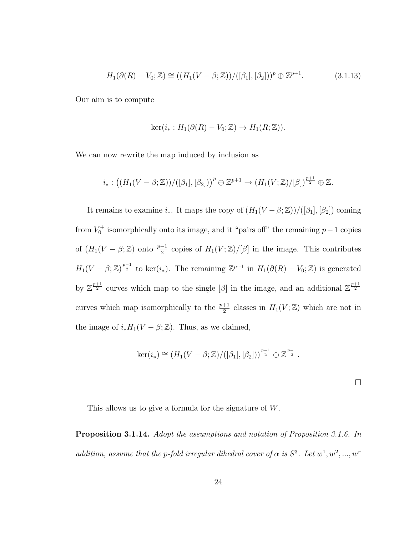$$
H_1(\partial(R) - V_0; \mathbb{Z}) \cong ((H_1(V - \beta; \mathbb{Z})) / ([\beta_1], [\beta_2]))^p \oplus \mathbb{Z}^{p+1}.
$$
 (3.1.13)

Our aim is to compute

$$
\ker(i_*: H_1(\partial(R) - V_0; \mathbb{Z}) \to H_1(R; \mathbb{Z})).
$$

We can now rewrite the map induced by inclusion as

$$
i_*: ((H_1(V-\beta;\mathbb{Z}))/([\beta_1],[\beta_2]))^p\oplus\mathbb{Z}^{p+1}\to (H_1(V;\mathbb{Z})/[\beta])^{\frac{p+1}{2}}\oplus\mathbb{Z}.
$$

It remains to examine  $i_*$ . It maps the copy of  $(H_1(V - \beta; \mathbb{Z}))/([\beta_1], [\beta_2])$  coming from  $V_0^+$  isomorphically onto its image, and it "pairs off" the remaining  $p-1$  copies of  $(H_1(V - \beta; \mathbb{Z})$  onto  $\frac{p-1}{2}$  copies of  $H_1(V; \mathbb{Z})/[\beta]$  in the image. This contributes  $H_1(V-\beta;\mathbb{Z})^{\frac{p-1}{2}}$  to ker $(i_*)$ . The remaining  $\mathbb{Z}^{p+1}$  in  $H_1(\partial(R)-V_0;\mathbb{Z})$  is generated by  $\mathbb{Z}^{\frac{p+1}{2}}$  curves which map to the single  $[\beta]$  in the image, and an additional  $\mathbb{Z}^{\frac{p+1}{2}}$ curves which map isomorphically to the  $\frac{p+1}{2}$  classes in  $H_1(V;\mathbb{Z})$  which are not in the image of  $i_*H_1(V - \beta; \mathbb{Z})$ . Thus, as we claimed,

$$
\ker(i_*) \cong (H_1(V-\beta;\mathbb{Z})/([\beta_1],[\beta_2]))^{\frac{p-1}{2}} \oplus \mathbb{Z}^{\frac{p-1}{2}}.
$$

 $\Box$ 

This allows us to give a formula for the signature of W.

Proposition 3.1.14. Adopt the assumptions and notation of Proposition 3.1.6. In addition, assume that the p-fold irregular dihedral cover of  $\alpha$  is  $S^3$ . Let  $w^1, w^2, ..., w^r$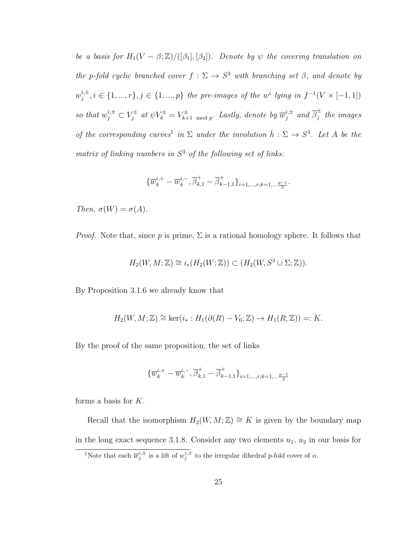be a basis for  $H_1(V - \beta; \mathbb{Z})/([\beta_1], [\beta_2])$ . Denote by  $\psi$  the covering translation on the p-fold cyclic branched cover  $f : \Sigma \to S^3$  with branching set  $\beta$ , and denote by  $w_i^{i,\pm}$  $j^{i,\pm}, i \in \{1, ..., r\}, j \in \{1, ..., p\}$  the pre-images of the w<sup>i</sup> lying in  $f^{-1}(V \times [-1, 1])$ so that  $w_j^{i,\pm} \subset V_j^{\pm}$  $y_j^{\pm}$  at  $\psi V_k^{\pm} = V_{k+1}^{\pm}$  $\bar{x}_{k+1 \mod p}^{\pm}$ . Lastly, denote by  $\overline{w}_{j}^{i,\pm}$  $j^{\scriptstyle \pm}$  and  $\overline{\beta}_j^{\scriptstyle \pm}$  $j<sub>j</sub>$  the images of the corresponding curves<sup>1</sup> in  $\Sigma$  under the involution  $\bar{h} : \Sigma \to S^3$ . Let A be the matrix of linking numbers in  $S<sup>3</sup>$  of the following set of links:

$$
\{\overline{w}^{i,+}_k-\overline{w}^{i,-}_k,\overline{\beta}^+_{k,1}-\overline{\beta}^+_{k-1,1}\}_{i=1,\ldots,r;k=1,\ldots\frac{p-1}{2}}.
$$

Then,  $\sigma(W) = \sigma(A)$ .

*Proof.* Note that, since p is prime,  $\Sigma$  is a rational homology sphere. It follows that

$$
H_2(W, M; \mathbb{Z}) \cong i_*(H_2(W; \mathbb{Z})) \subset (H_2(W, S^3 \cup \Sigma; \mathbb{Z})).
$$

By Proposition 3.1.6 we already know that

$$
H_2(W, M; \mathbb{Z}) \cong \ker(i_* : H_1(\partial(R) - V_0; \mathbb{Z}) \to H_1(R; \mathbb{Z})) =: K.
$$

By the proof of the same proposition, the set of links

$$
\{\overline{w}^{i,+}_k-\overline{w}^{i,-}_k,\overline{\beta}^+_{k,1}-\overline{\beta}^+_{k-1,1}\}_{i=1,\ldots,r;k=1,\ldots\frac{p-1}{2}}
$$

forms a basis for K.

Recall that the isomorphism  $H_2(W, M; \mathbb{Z}) \cong K$  is given by the boundary map in the long exact sequence 3.1.8. Consider any two elements  $u_1, u_2$  in our basis for <sup>1</sup>Note that each  $\overline{w}^{i,\pm}_j$  is a lift of  $w_j^{i,\pm}$  to the irregular dihedral *p*-fold cover of  $\alpha$ .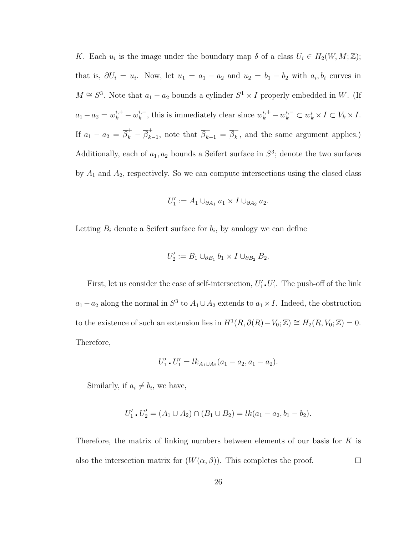K. Each  $u_i$  is the image under the boundary map  $\delta$  of a class  $U_i \in H_2(W, M; \mathbb{Z});$ that is,  $\partial U_i = u_i$ . Now, let  $u_1 = a_1 - a_2$  and  $u_2 = b_1 - b_2$  with  $a_i, b_i$  curves in  $M \cong S^3$ . Note that  $a_1 - a_2$  bounds a cylinder  $S^1 \times I$  properly embedded in W. (If  $a_1 - a_2 = \overline{w}_k^{i,+} - \overline{w}_k^{i,-}$  $\overline{w}_k^{i,-}$ , this is immediately clear since  $\overline{w}_k^{i,+} - \overline{w}_k^{i,-} \subset \overline{w}_k^i \times I \subset V_k \times I$ . If  $a_1 - a_2 = \overline{\beta}_k^+ - \overline{\beta}_k^+$ <sup>+</sup><sub>k−1</sub>, note that  $\overline{\beta}_{k-1}^+ = \overline{\beta}_k^ \overline{k}$ , and the same argument applies.) Additionally, each of  $a_1, a_2$  bounds a Seifert surface in  $S^3$ ; denote the two surfaces by  $A_1$  and  $A_2$ , respectively. So we can compute intersections using the closed class

$$
U_1' := A_1 \cup_{\partial A_1} a_1 \times I \cup_{\partial A_2} a_2.
$$

Letting  $B_i$  denote a Seifert surface for  $b_i$ , by analogy we can define

$$
U_2' := B_1 \cup_{\partial B_1} b_1 \times I \cup_{\partial B_2} B_2.
$$

First, let us consider the case of self-intersection,  $U'_1 \cdot U'_1$ . The push-off of the link  $a_1 - a_2$  along the normal in  $S^3$  to  $A_1 \cup A_2$  extends to  $a_1 \times I$ . Indeed, the obstruction to the existence of such an extension lies in  $H^1(R, \partial(R) - V_0; \mathbb{Z}) \cong H_2(R, V_0; \mathbb{Z}) = 0.$ Therefore,

$$
U_1' \cdot U_1' = lk_{A_1 \cup A_2}(a_1 - a_2, a_1 - a_2).
$$

Similarly, if  $a_i \neq b_i$ , we have,

$$
U'_1 \cdot U'_2 = (A_1 \cup A_2) \cap (B_1 \cup B_2) = lk(a_1 - a_2, b_1 - b_2).
$$

Therefore, the matrix of linking numbers between elements of our basis for K is also the intersection matrix for  $(W(\alpha, \beta))$ . This completes the proof.  $\Box$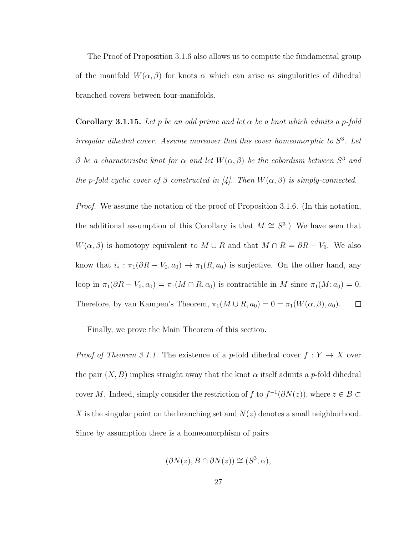The Proof of Proposition 3.1.6 also allows us to compute the fundamental group of the manifold  $W(\alpha, \beta)$  for knots  $\alpha$  which can arise as singularities of dihedral branched covers between four-manifolds.

**Corollary 3.1.15.** Let p be an odd prime and let  $\alpha$  be a knot which admits a p-fold irregular dihedral cover. Assume moreover that this cover homeomorphic to  $S^3$ . Let β be a characteristic knot for  $\alpha$  and let  $W(\alpha, \beta)$  be the cobordism between  $S^3$  and the p-fold cyclic cover of  $\beta$  constructed in [4]. Then  $W(\alpha, \beta)$  is simply-connected.

*Proof.* We assume the notation of the proof of Proposition 3.1.6. (In this notation, the additional assumption of this Corollary is that  $M \cong S^3$ .) We have seen that  $W(\alpha, \beta)$  is homotopy equivalent to  $M \cup R$  and that  $M \cap R = \partial R - V_0$ . We also know that  $i_* : \pi_1(\partial R - V_0, a_0) \to \pi_1(R, a_0)$  is surjective. On the other hand, any loop in  $\pi_1(\partial R - V_0, a_0) = \pi_1(M \cap R, a_0)$  is contractible in M since  $\pi_1(M; a_0) = 0$ . Therefore, by van Kampen's Theorem,  $\pi_1(M \cup R, a_0) = 0 = \pi_1(W(\alpha, \beta), a_0)$ .  $\Box$ 

Finally, we prove the Main Theorem of this section.

*Proof of Theorem 3.1.1.* The existence of a p-fold dihedral cover  $f: Y \to X$  over the pair  $(X, B)$  implies straight away that the knot  $\alpha$  itself admits a p-fold dihedral cover M. Indeed, simply consider the restriction of f to  $f^{-1}(\partial N(z))$ , where  $z \in B \subset$ X is the singular point on the branching set and  $N(z)$  denotes a small neighborhood. Since by assumption there is a homeomorphism of pairs

$$
(\partial N(z), B \cap \partial N(z)) \cong (S^3, \alpha),
$$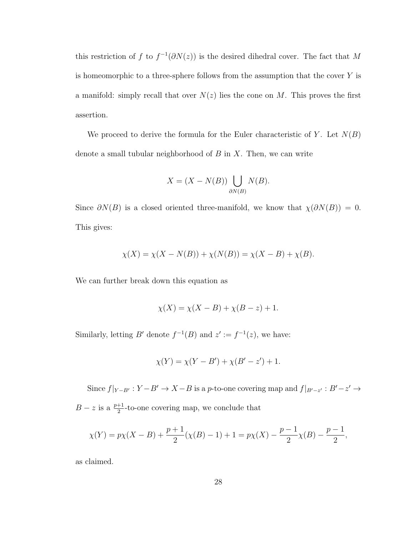this restriction of f to  $f^{-1}(\partial N(z))$  is the desired dihedral cover. The fact that M is homeomorphic to a three-sphere follows from the assumption that the cover  $Y$  is a manifold: simply recall that over  $N(z)$  lies the cone on M. This proves the first assertion.

We proceed to derive the formula for the Euler characteristic of Y. Let  $N(B)$ denote a small tubular neighborhood of  $B$  in  $X$ . Then, we can write

$$
X = (X - N(B)) \bigcup_{\partial N(B)} N(B).
$$

Since  $\partial N(B)$  is a closed oriented three-manifold, we know that  $\chi(\partial N(B)) = 0$ . This gives:

$$
\chi(X) = \chi(X - N(B)) + \chi(N(B)) = \chi(X - B) + \chi(B).
$$

We can further break down this equation as

$$
\chi(X) = \chi(X - B) + \chi(B - z) + 1.
$$

Similarly, letting B' denote  $f^{-1}(B)$  and  $z' := f^{-1}(z)$ , we have:

$$
\chi(Y) = \chi(Y - B') + \chi(B' - z') + 1.
$$

Since  $f|_{Y-B'} : Y-B' \to X-B$  is a p-to-one covering map and  $f|_{B'-z'} : B'-z' \to Y$  $B - z$  is a  $\frac{p+1}{2}$ -to-one covering map, we conclude that

$$
\chi(Y) = p\chi(X - B) + \frac{p+1}{2}(\chi(B) - 1) + 1 = p\chi(X) - \frac{p-1}{2}\chi(B) - \frac{p-1}{2},
$$

as claimed.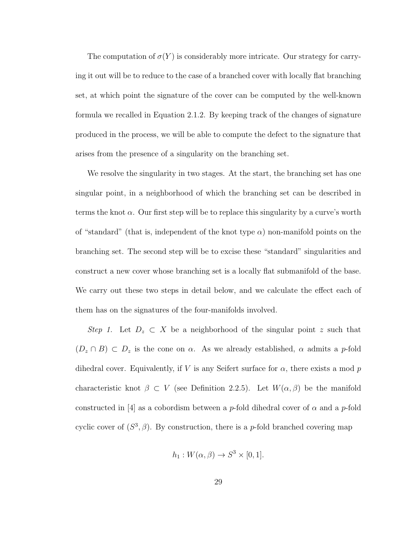The computation of  $\sigma(Y)$  is considerably more intricate. Our strategy for carrying it out will be to reduce to the case of a branched cover with locally flat branching set, at which point the signature of the cover can be computed by the well-known formula we recalled in Equation 2.1.2. By keeping track of the changes of signature produced in the process, we will be able to compute the defect to the signature that arises from the presence of a singularity on the branching set.

We resolve the singularity in two stages. At the start, the branching set has one singular point, in a neighborhood of which the branching set can be described in terms the knot  $\alpha$ . Our first step will be to replace this singularity by a curve's worth of "standard" (that is, independent of the knot type  $\alpha$ ) non-manifold points on the branching set. The second step will be to excise these "standard" singularities and construct a new cover whose branching set is a locally flat submanifold of the base. We carry out these two steps in detail below, and we calculate the effect each of them has on the signatures of the four-manifolds involved.

Step 1. Let  $D_z \subset X$  be a neighborhood of the singular point z such that  $(D_z \cap B) \subset D_z$  is the cone on  $\alpha$ . As we already established,  $\alpha$  admits a p-fold dihedral cover. Equivalently, if V is any Seifert surface for  $\alpha$ , there exists a mod p characteristic knot  $\beta \subset V$  (see Definition 2.2.5). Let  $W(\alpha, \beta)$  be the manifold constructed in [4] as a cobordism between a *p*-fold dihedral cover of  $\alpha$  and a *p*-fold cyclic cover of  $(S^3, \beta)$ . By construction, there is a *p*-fold branched covering map

$$
h_1: W(\alpha, \beta) \to S^3 \times [0, 1].
$$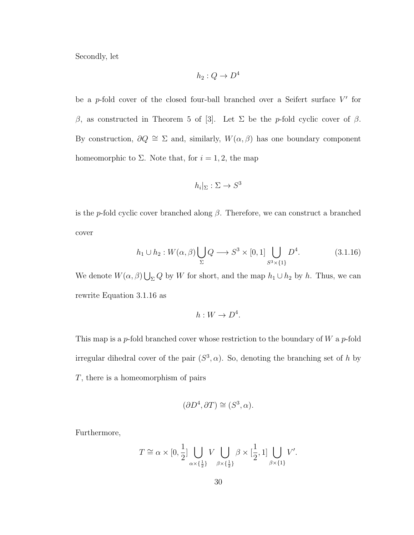Secondly, let

$$
h_2:Q\to D^4
$$

be a  $p$ -fold cover of the closed four-ball branched over a Seifert surface  $V'$  for β, as constructed in Theorem 5 of [3]. Let  $\Sigma$  be the p-fold cyclic cover of β. By construction,  $\partial Q \cong \Sigma$  and, similarly,  $W(\alpha, \beta)$  has one boundary component homeomorphic to  $\Sigma$ . Note that, for  $i = 1, 2$ , the map

$$
h_i|_{\Sigma}: \Sigma \to S^3
$$

is the p-fold cyclic cover branched along  $\beta$ . Therefore, we can construct a branched cover

$$
h_1 \cup h_2: W(\alpha, \beta) \bigcup_{\Sigma} Q \longrightarrow S^3 \times [0, 1] \bigcup_{S^3 \times \{1\}} D^4. \tag{3.1.16}
$$

We denote  $W(\alpha, \beta) \bigcup_{\Sigma} Q$  by W for short, and the map  $h_1 \cup h_2$  by h. Thus, we can rewrite Equation 3.1.16 as

$$
h: W \to D^4.
$$

This map is a p-fold branched cover whose restriction to the boundary of  $W$  a p-fold irregular dihedral cover of the pair  $(S^3, \alpha)$ . So, denoting the branching set of h by T, there is a homeomorphism of pairs

$$
(\partial D^4, \partial T) \cong (S^3, \alpha).
$$

Furthermore,

$$
T \cong \alpha \times [0, \frac{1}{2}] \bigcup_{\alpha \times \{\frac{1}{2}\}} V \bigcup_{\beta \times \{\frac{1}{2}\}} \beta \times [\frac{1}{2}, 1] \bigcup_{\beta \times \{1\}} V'.
$$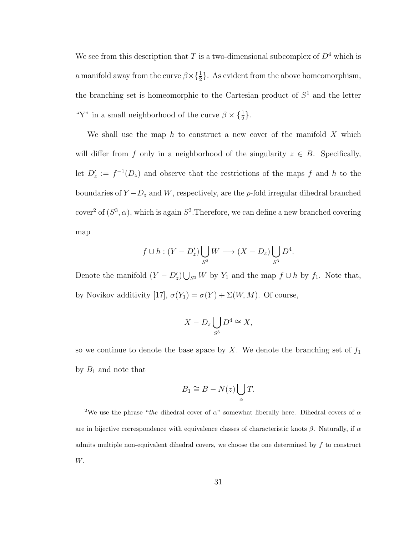We see from this description that  $T$  is a two-dimensional subcomplex of  $D^4$  which is a manifold away from the curve  $\beta \times {\frac{1}{2}}$ . As evident from the above homeomorphism, the branching set is homeomorphic to the Cartesian product of  $S<sup>1</sup>$  and the letter "Y" in a small neighborhood of the curve  $\beta \times {\frac{1}{2}}$ .

We shall use the map h to construct a new cover of the manifold  $X$  which will differ from f only in a neighborhood of the singularity  $z \in B$ . Specifically, let  $D'_z := f^{-1}(D_z)$  and observe that the restrictions of the maps f and h to the boundaries of  $Y - D_z$  and W, respectively, are the p-fold irregular dihedral branched cover<sup>2</sup> of  $(S^3, \alpha)$ , which is again  $S^3$ . Therefore, we can define a new branched covering map

$$
f \cup h : (Y - D'_z) \bigcup_{S^3} W \longrightarrow (X - D_z) \bigcup_{S^3} D^4.
$$

Denote the manifold  $(Y - D'_z) \bigcup_{S^3} W$  by  $Y_1$  and the map  $f \cup h$  by  $f_1$ . Note that, by Novikov additivity [17],  $\sigma(Y_1) = \sigma(Y) + \Sigma(W, M)$ . Of course,

$$
X - D_z \bigcup_{S^3} D^4 \cong X,
$$

so we continue to denote the base space by  $X$ . We denote the branching set of  $f_1$ by  $B_1$  and note that

$$
B_1 \cong B - N(z) \bigcup_{\alpha} T.
$$

<sup>&</sup>lt;sup>2</sup>We use the phrase "the dihedral cover of  $\alpha$ " somewhat liberally here. Dihedral covers of  $\alpha$ are in bijective correspondence with equivalence classes of characteristic knots  $\beta$ . Naturally, if  $\alpha$ admits multiple non-equivalent dihedral covers, we choose the one determined by  $f$  to construct W.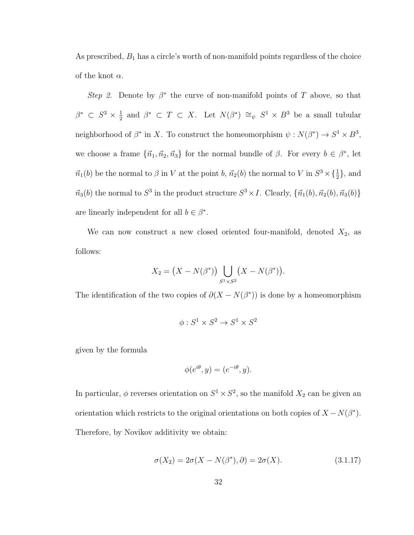As prescribed,  $B_1$  has a circle's worth of non-manifold points regardless of the choice of the knot  $\alpha$ .

Step 2. Denote by  $\beta^*$  the curve of non-manifold points of T above, so that  $\beta^*$   $\subset S^3 \times \frac{1}{2}$  $\frac{1}{2}$  and  $\beta^*$   $\subset T \subset X$ . Let  $N(\beta^*) \cong_{\psi} S^1 \times B^3$  be a small tubular neighborhood of  $\beta^*$  in X. To construct the homeomorphism  $\psi: N(\beta^*) \to S^1 \times B^3$ , we choose a frame  $\{\vec{n}_1, \vec{n}_2, \vec{n}_3\}$  for the normal bundle of  $\beta$ . For every  $b \in \beta^*$ , let  $\vec{n_1}(b)$  be the normal to  $\beta$  in V at the point b,  $\vec{n_2}(b)$  the normal to V in  $S^3 \times {\frac{1}{2}}$ , and  $\vec{n}_3(b)$  the normal to  $S^3$  in the product structure  $S^3 \times I$ . Clearly,  $\{\vec{n}_1(b), \vec{n}_2(b), \vec{n}_3(b)\}\$ are linearly independent for all  $b \in \beta^*$ .

We can now construct a new closed oriented four-manifold, denoted  $X_2$ , as follows:

$$
X_2 = (X - N(\beta^*)) \bigcup_{S^1 \times S^2} (X - N(\beta^*)).
$$

The identification of the two copies of  $\partial (X - N(\beta^*))$  is done by a homeomorphism

$$
\phi: S^1 \times S^2 \to S^1 \times S^2
$$

given by the formula

$$
\phi(e^{i\theta}, y) = (e^{-i\theta}, y).
$$

In particular,  $\phi$  reverses orientation on  $S^1 \times S^2$ , so the manifold  $X_2$  can be given an orientation which restricts to the original orientations on both copies of  $X - N(\beta^*)$ . Therefore, by Novikov additivity we obtain:

$$
\sigma(X_2) = 2\sigma(X - N(\beta^*), \partial) = 2\sigma(X). \tag{3.1.17}
$$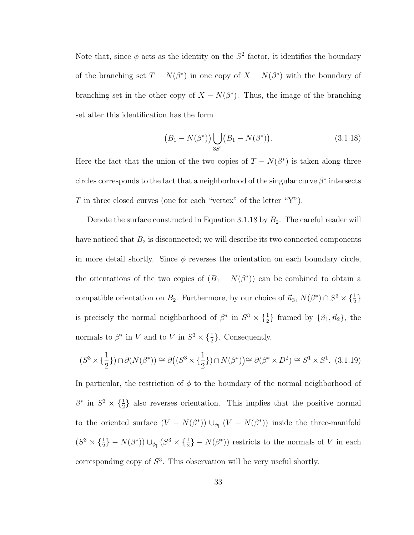Note that, since  $\phi$  acts as the identity on the  $S^2$  factor, it identifies the boundary of the branching set  $T - N(\beta^*)$  in one copy of  $X - N(\beta^*)$  with the boundary of branching set in the other copy of  $X - N(\beta^*)$ . Thus, the image of the branching set after this identification has the form

$$
(B_1 - N(\beta^*)) \bigcup_{3S^1} (B_1 - N(\beta^*)). \tag{3.1.18}
$$

Here the fact that the union of the two copies of  $T - N(\beta^*)$  is taken along three circles corresponds to the fact that a neighborhood of the singular curve  $\beta^*$  intersects T in three closed curves (one for each "vertex" of the letter " $Y$ ").

Denote the surface constructed in Equation 3.1.18 by  $B_2$ . The careful reader will have noticed that  $B_2$  is disconnected; we will describe its two connected components in more detail shortly. Since  $\phi$  reverses the orientation on each boundary circle, the orientations of the two copies of  $(B_1 - N(\beta^*))$  can be combined to obtain a compatible orientation on  $B_2$ . Furthermore, by our choice of  $\vec{n}_3$ ,  $N(\beta^*) \cap S^3 \times {\frac{1}{2}}$ is precisely the normal neighborhood of  $\beta^*$  in  $S^3 \times {\frac{1}{2}}$  framed by  ${\{\vec{n}_1, \vec{n}_2\}}$ , the normals to  $\beta^*$  in V and to V in  $S^3 \times {\frac{1}{2}}$ . Consequently,

$$
(S^3 \times \{\frac{1}{2}\}) \cap \partial(N(\beta^*)) \cong \partial\big((S^3 \times \{\frac{1}{2}\}) \cap N(\beta^*)\big) \cong \partial(\beta^* \times D^2) \cong S^1 \times S^1. \tag{3.1.19}
$$

In particular, the restriction of  $\phi$  to the boundary of the normal neighborhood of  $\beta^*$  in  $S^3 \times {\frac{1}{2}}$  also reverses orientation. This implies that the positive normal to the oriented surface  $(V - N(\beta^*)) \cup_{\phi} (V - N(\beta^*))$  inside the three-manifold  $(S^3 \times {\frac{1}{2}} - N(\beta^*)) \cup_{\phi} (S^3 \times {\frac{1}{2}} - N(\beta^*))$  restricts to the normals of V in each corresponding copy of  $S<sup>3</sup>$ . This observation will be very useful shortly.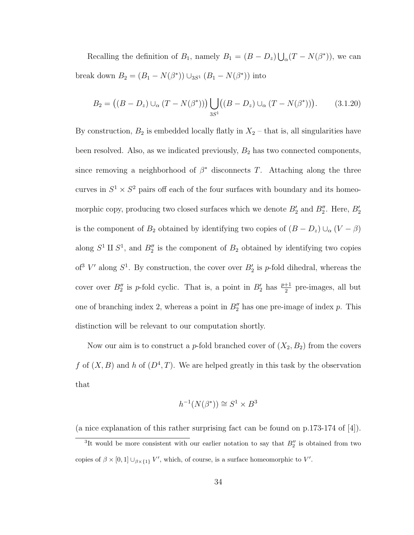Recalling the definition of  $B_1$ , namely  $B_1 = (B - D_z) \bigcup_{\alpha} (T - N(\beta^*))$ , we can break down  $B_2 = (B_1 - N(\beta^*)) \cup_{3S^1} (B_1 - N(\beta^*))$  into

$$
B_2 = ((B - D_z) \cup_{\alpha} (T - N(\beta^*))) \bigcup_{3S^1} ((B - D_z) \cup_{\alpha} (T - N(\beta^*))).
$$
 (3.1.20)

By construction,  $B_2$  is embedded locally flatly in  $X_2$  – that is, all singularities have been resolved. Also, as we indicated previously,  $B_2$  has two connected components, since removing a neighborhood of  $\beta^*$  disconnects T. Attaching along the three curves in  $S^1 \times S^2$  pairs off each of the four surfaces with boundary and its homeomorphic copy, producing two closed surfaces which we denote  $B'_2$  and  $B''_2$ . Here,  $B'_2$ is the component of  $B_2$  obtained by identifying two copies of  $(B - D_z) \cup_{\alpha} (V - \beta)$ along  $S^1$  II  $S^1$ , and  $B_2''$  is the component of  $B_2$  obtained by identifying two copies of<sup>3</sup> V' along  $S^1$ . By construction, the cover over  $B'_2$  is p-fold dihedral, whereas the cover over  $B_2''$  is p-fold cyclic. That is, a point in  $B_2'$  has  $\frac{p+1}{2}$  pre-images, all but one of branching index 2, whereas a point in  $B_2''$  has one pre-image of index p. This distinction will be relevant to our computation shortly.

Now our aim is to construct a p-fold branched cover of  $(X_2, B_2)$  from the covers f of  $(X, B)$  and h of  $(D^4, T)$ . We are helped greatly in this task by the observation that

$$
h^{-1}(N(\beta^*)) \cong S^1 \times B^3
$$

(a nice explanation of this rather surprising fact can be found on p.173-174 of [4]).

<sup>&</sup>lt;sup>3</sup>It would be more consistent with our earlier notation to say that  $B_2''$  is obtained from two copies of  $\beta \times [0,1] \cup_{\beta \times \{1\}} V'$ , which, of course, is a surface homeomorphic to V'.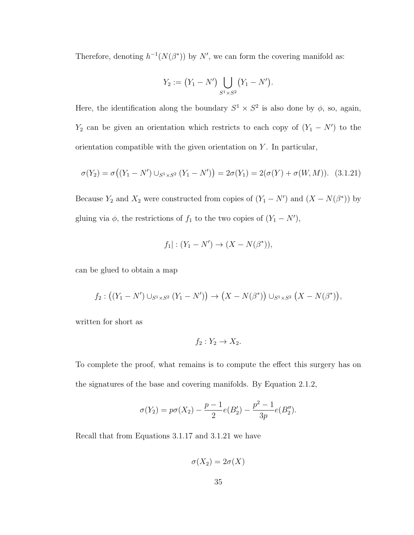Therefore, denoting  $h^{-1}(N(\beta^*))$  by N', we can form the covering manifold as:

$$
Y_2 := (Y_1 - N') \bigcup_{S^1 \times S^2} (Y_1 - N').
$$

Here, the identification along the boundary  $S^1 \times S^2$  is also done by  $\phi$ , so, again,  $Y_2$  can be given an orientation which restricts to each copy of  $(Y_1 - N')$  to the orientation compatible with the given orientation on  $Y$ . In particular,

$$
\sigma(Y_2) = \sigma((Y_1 - N') \cup_{S^1 \times S^2} (Y_1 - N')) = 2\sigma(Y_1) = 2(\sigma(Y) + \sigma(W, M)).
$$
 (3.1.21)

Because  $Y_2$  and  $X_2$  were constructed from copies of  $(Y_1 - N')$  and  $(X - N(\beta^*))$  by gluing via  $\phi$ , the restrictions of  $f_1$  to the two copies of  $(Y_1 - N')$ ,

$$
f_1
$$
 :  $(Y_1 - N') \to (X - N(\beta^*)),$ 

can be glued to obtain a map

$$
f_2: ((Y_1 - N') \cup_{S^1 \times S^2} (Y_1 - N')) \to (X - N(\beta^*)) \cup_{S^1 \times S^2} (X - N(\beta^*)),
$$

written for short as

$$
f_2: Y_2 \to X_2.
$$

To complete the proof, what remains is to compute the effect this surgery has on the signatures of the base and covering manifolds. By Equation 2.1.2,

$$
\sigma(Y_2) = p\sigma(X_2) - \frac{p-1}{2}e(B_2') - \frac{p^2-1}{3p}e(B_2'').
$$

Recall that from Equations 3.1.17 and 3.1.21 we have

 $\sigma(X_2) = 2\sigma(X)$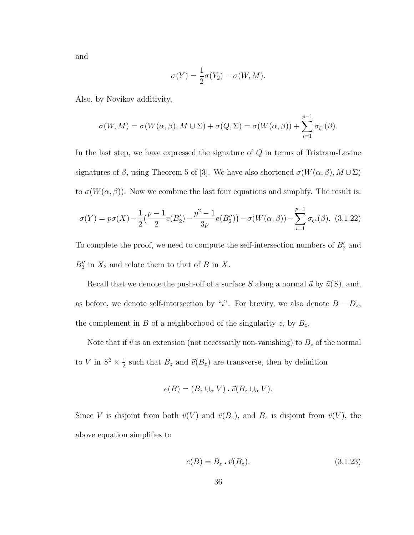and

$$
\sigma(Y) = \frac{1}{2}\sigma(Y_2) - \sigma(W, M).
$$

Also, by Novikov additivity,

$$
\sigma(W, M) = \sigma(W(\alpha, \beta), M \cup \Sigma) + \sigma(Q, \Sigma) = \sigma(W(\alpha, \beta)) + \sum_{i=1}^{p-1} \sigma_{\zeta^i}(\beta).
$$

In the last step, we have expressed the signature of  $Q$  in terms of Tristram-Levine signatures of  $\beta$ , using Theorem 5 of [3]. We have also shortened  $\sigma(W(\alpha, \beta), M \cup \Sigma)$ to  $\sigma(W(\alpha, \beta))$ . Now we combine the last four equations and simplify. The result is:

$$
\sigma(Y) = p\sigma(X) - \frac{1}{2} \left( \frac{p-1}{2} e(B_2') - \frac{p^2 - 1}{3p} e(B_2'') \right) - \sigma(W(\alpha, \beta)) - \sum_{i=1}^{p-1} \sigma_{\zeta^i}(\beta). \tag{3.1.22}
$$

To complete the proof, we need to compute the self-intersection numbers of  $B_2'$  and  $B_2''$  in  $X_2$  and relate them to that of B in X.

Recall that we denote the push-off of a surface S along a normal  $\vec{u}$  by  $\vec{u}(S)$ , and, as before, we denote self-intersection by "". For brevity, we also denote  $B - D_z$ , the complement in  $B$  of a neighborhood of the singularity  $z$ , by  $B_z$ .

Note that if  $\vec{v}$  is an extension (not necessarily non-vanishing) to  $B_z$  of the normal to V in  $S^3 \times \frac{1}{2}$  $\frac{1}{2}$  such that  $B_z$  and  $\vec{v}(B_z)$  are transverse, then by definition

$$
e(B) = (B_z \cup_\alpha V) \cdot \vec{v}(B_z \cup_\alpha V).
$$

Since V is disjoint from both  $\vec{v}(V)$  and  $\vec{v}(B_z)$ , and  $B_z$  is disjoint from  $\vec{v}(V)$ , the above equation simplifies to

$$
e(B) = B_z \cdot \vec{v}(B_z). \tag{3.1.23}
$$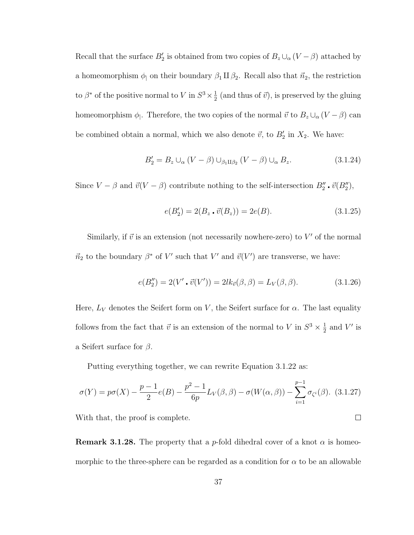Recall that the surface  $B_2'$  is obtained from two copies of  $B_z \cup_{\alpha} (V - \beta)$  attached by a homeomorphism  $\phi_1$  on their boundary  $\beta_1 \amalg \beta_2$ . Recall also that  $\vec{n}_2$ , the restriction to  $\beta^*$  of the positive normal to V in  $S^3 \times \frac{1}{2}$  $\frac{1}{2}$  (and thus of  $\vec{v}$ ), is preserved by the gluing homeomorphism  $\phi$ . Therefore, the two copies of the normal  $\vec{v}$  to  $B_z \cup_\alpha (V - \beta)$  can be combined obtain a normal, which we also denote  $\vec{v}$ , to  $B'_2$  in  $X_2$ . We have:

$$
B_2' = B_z \cup_{\alpha} (V - \beta) \cup_{\beta_1 \amalg \beta_2} (V - \beta) \cup_{\alpha} B_z.
$$
 (3.1.24)

Since  $V - \beta$  and  $\vec{v}(V - \beta)$  contribute nothing to the self-intersection  $B''_2 \cdot \vec{v}(B''_2)$ ,

$$
e(B_2') = 2(B_z \cdot \vec{v}(B_z)) = 2e(B). \tag{3.1.25}
$$

Similarly, if  $\vec{v}$  is an extension (not necessarily nowhere-zero) to V' of the normal  $\vec{n}_2$  to the boundary  $\beta^*$  of V' such that V' and  $\vec{v}(V')$  are transverse, we have:

$$
e(B_2'') = 2(V' \cdot \vec{v}(V')) = 2lk_{\vec{v}}(\beta, \beta) = L_V(\beta, \beta).
$$
 (3.1.26)

 $\Box$ 

Here,  $L_V$  denotes the Seifert form on V, the Seifert surface for  $\alpha$ . The last equality follows from the fact that  $\vec{v}$  is an extension of the normal to V in  $S^3 \times \frac{1}{2}$  $\frac{1}{2}$  and V' is a Seifert surface for  $\beta$ .

Putting everything together, we can rewrite Equation 3.1.22 as:

$$
\sigma(Y) = p\sigma(X) - \frac{p-1}{2}e(B) - \frac{p^2 - 1}{6p}L_V(\beta, \beta) - \sigma(W(\alpha, \beta)) - \sum_{i=1}^{p-1} \sigma_{\zeta^i}(\beta). \tag{3.1.27}
$$

With that, the proof is complete.

**Remark 3.1.28.** The property that a p-fold dihedral cover of a knot  $\alpha$  is homeomorphic to the three-sphere can be regarded as a condition for  $\alpha$  to be an allowable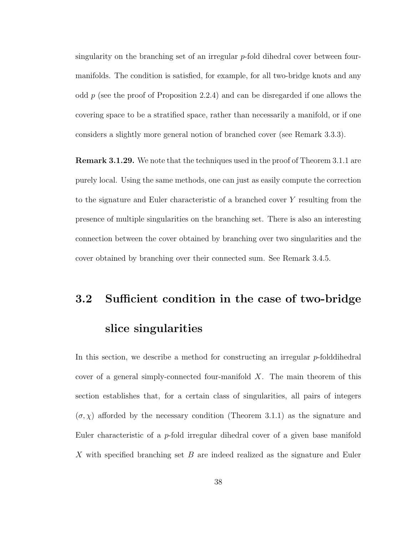singularity on the branching set of an irregular p-fold dihedral cover between fourmanifolds. The condition is satisfied, for example, for all two-bridge knots and any odd  $p$  (see the proof of Proposition 2.2.4) and can be disregarded if one allows the covering space to be a stratified space, rather than necessarily a manifold, or if one considers a slightly more general notion of branched cover (see Remark 3.3.3).

Remark 3.1.29. We note that the techniques used in the proof of Theorem 3.1.1 are purely local. Using the same methods, one can just as easily compute the correction to the signature and Euler characteristic of a branched cover Y resulting from the presence of multiple singularities on the branching set. There is also an interesting connection between the cover obtained by branching over two singularities and the cover obtained by branching over their connected sum. See Remark 3.4.5.

# 3.2 Sufficient condition in the case of two-bridge slice singularities

In this section, we describe a method for constructing an irregular  $p$ -folddihedral cover of a general simply-connected four-manifold  $X$ . The main theorem of this section establishes that, for a certain class of singularities, all pairs of integers  $(\sigma, \chi)$  afforded by the necessary condition (Theorem 3.1.1) as the signature and Euler characteristic of a p-fold irregular dihedral cover of a given base manifold X with specified branching set B are indeed realized as the signature and Euler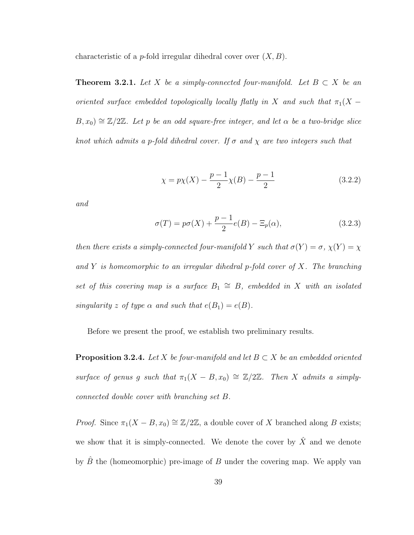characteristic of a *p*-fold irregular dihedral cover over  $(X, B)$ .

**Theorem 3.2.1.** Let X be a simply-connected four-manifold. Let  $B \subset X$  be an oriented surface embedded topologically locally flatly in X and such that  $\pi_1(X B, x_0$ )  $\cong \mathbb{Z}/2\mathbb{Z}$ . Let p be an odd square-free integer, and let  $\alpha$  be a two-bridge slice knot which admits a p-fold dihedral cover. If  $\sigma$  and  $\chi$  are two integers such that

$$
\chi = p\chi(X) - \frac{p-1}{2}\chi(B) - \frac{p-1}{2} \tag{3.2.2}
$$

and

$$
\sigma(T) = p\sigma(X) + \frac{p-1}{2}e(B) - \Xi_p(\alpha),\tag{3.2.3}
$$

then there exists a simply-connected four-manifold Y such that  $\sigma(Y) = \sigma$ ,  $\chi(Y) = \chi$ and Y is homeomorphic to an irregular dihedral p-fold cover of X. The branching set of this covering map is a surface  $B_1 \cong B$ , embedded in X with an isolated singularity z of type  $\alpha$  and such that  $e(B_1) = e(B)$ .

Before we present the proof, we establish two preliminary results.

**Proposition 3.2.4.** Let X be four-manifold and let  $B \subset X$  be an embedded oriented surface of genus g such that  $\pi_1(X - B, x_0) \cong \mathbb{Z}/2\mathbb{Z}$ . Then X admits a simplyconnected double cover with branching set B.

*Proof.* Since  $\pi_1(X - B, x_0) \cong \mathbb{Z}/2\mathbb{Z}$ , a double cover of X branched along B exists; we show that it is simply-connected. We denote the cover by  $\hat{X}$  and we denote by  $\hat{B}$  the (homeomorphic) pre-image of B under the covering map. We apply van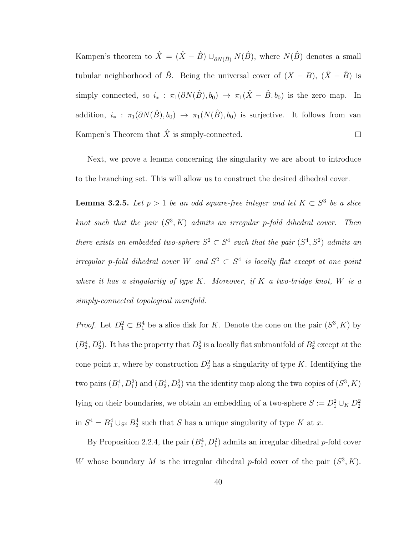Kampen's theorem to  $\hat{X} = (\hat{X} - \hat{B}) \cup_{\partial N(\hat{B})} N(\hat{B})$ , where  $N(\hat{B})$  denotes a small tubular neighborhood of  $\hat{B}$ . Being the universal cover of  $(X - B)$ ,  $(\hat{X} - \hat{B})$  is simply connected, so  $i_* : \pi_1(\partial N(\hat{B}), b_0) \to \pi_1(\hat{X} - \hat{B}, b_0)$  is the zero map. In addition,  $i_*$  :  $\pi_1(\partial N(\hat{B}), b_0) \to \pi_1(N(\hat{B}), b_0)$  is surjective. It follows from van Kampen's Theorem that  $\hat{X}$  is simply-connected.  $\Box$ 

Next, we prove a lemma concerning the singularity we are about to introduce to the branching set. This will allow us to construct the desired dihedral cover.

**Lemma 3.2.5.** Let  $p > 1$  be an odd square-free integer and let  $K \subset S^3$  be a slice knot such that the pair  $(S^3, K)$  admits an irregular p-fold dihedral cover. Then there exists an embedded two-sphere  $S^2 \subset S^4$  such that the pair  $(S^4, S^2)$  admits an irregular p-fold dihedral cover W and  $S^2 \subset S^4$  is locally flat except at one point where it has a singularity of type  $K$ . Moreover, if  $K$  a two-bridge knot,  $W$  is a simply-connected topological manifold.

*Proof.* Let  $D_1^2 \subset B_1^4$  be a slice disk for K. Denote the cone on the pair  $(S^3, K)$  by  $(B_2^4, D_2^2)$ . It has the property that  $D_2^2$  is a locally flat submanifold of  $B_2^4$  except at the cone point x, where by construction  $D_2^2$  has a singularity of type K. Identifying the two pairs  $(B_1^4, D_1^2)$  and  $(B_2^4, D_2^2)$  via the identity map along the two copies of  $(S^3, K)$ lying on their boundaries, we obtain an embedding of a two-sphere  $S := D_1^2 \cup_K D_2^2$ in  $S^4 = B_1^4 \cup_{S^3} B_2^4$  such that S has a unique singularity of type K at x.

By Proposition 2.2.4, the pair  $(B_1^4, D_1^2)$  admits an irregular dihedral p-fold cover W whose boundary M is the irregular dihedral p-fold cover of the pair  $(S^3, K)$ .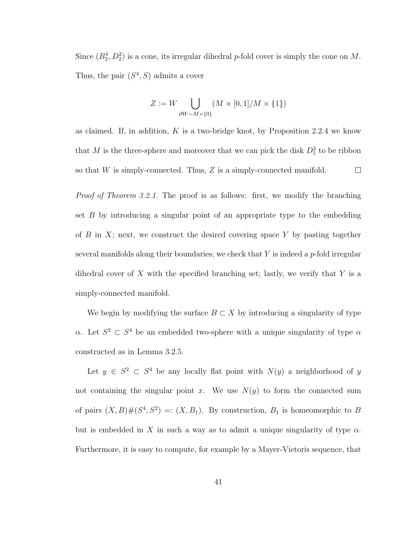Since  $(B_2^4, D_2^2)$  is a cone, its irregular dihedral p-fold cover is simply the cone on M. Thus, the pair  $(S^4, S)$  admits a cover

$$
Z := W \bigcup_{\partial W \sim M \times \{0\}} (M \times [0,1]/M \times \{1\})
$$

as claimed. If, in addition,  $K$  is a two-bridge knot, by Proposition 2.2.4 we know that M is the three-sphere and moreover that we can pick the disk  $D_1^2$  to be ribbon so that W is simply-connected. Thus, Z is a simply-connected manifold.  $\Box$ 

Proof of Theorem 3.2.1. The proof is as follows: first, we modify the branching set  $B$  by introducing a singular point of an appropriate type to the embedding of  $B$  in  $X$ ; next, we construct the desired covering space  $Y$  by pasting together several manifolds along their boundaries; we check that  $Y$  is indeed a p-fold irregular dihedral cover of X with the specified branching set; lastly, we verify that Y is a simply-connected manifold.

We begin by modifying the surface  $B \subset X$  by introducing a singularity of type α. Let  $S^2 \subset S^4$  be an embedded two-sphere with a unique singularity of type α constructed as in Lemma 3.2.5.

Let  $y \in S^2 \subset S^4$  be any locally flat point with  $N(y)$  a neighborhood of y not containing the singular point x. We use  $N(y)$  to form the connected sum of pairs  $(X, B)$ # $(S<sup>4</sup>, S<sup>2</sup>)$  =:  $(X, B<sub>1</sub>)$ . By construction,  $B<sub>1</sub>$  is homeomorphic to B but is embedded in X in such a way as to admit a unique singularity of type  $\alpha$ . Furthermore, it is easy to compute, for example by a Mayer-Vietoris sequence, that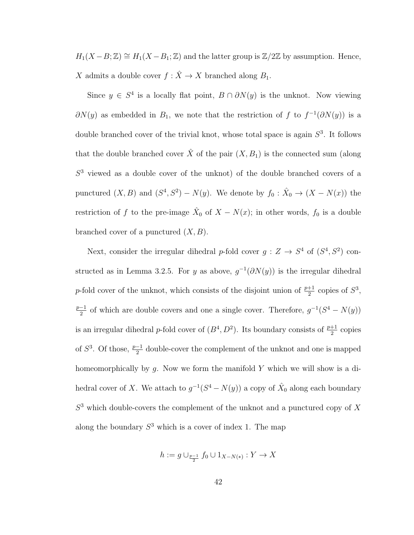$H_1(X-B;\mathbb{Z}) \cong H_1(X-B_1;\mathbb{Z})$  and the latter group is  $\mathbb{Z}/2\mathbb{Z}$  by assumption. Hence, X admits a double cover  $f : \hat{X} \to X$  branched along  $B_1$ .

Since  $y \in S^4$  is a locally flat point,  $B \cap \partial N(y)$  is the unknot. Now viewing  $\partial N(y)$  as embedded in  $B_1$ , we note that the restriction of f to  $f^{-1}(\partial N(y))$  is a double branched cover of the trivial knot, whose total space is again  $S<sup>3</sup>$ . It follows that the double branched cover  $\hat{X}$  of the pair  $(X, B_1)$  is the connected sum (along  $S<sup>3</sup>$  viewed as a double cover of the unknot) of the double branched covers of a punctured  $(X, B)$  and  $(S^4, S^2) - N(y)$ . We denote by  $f_0: \hat{X}_0 \to (X - N(x))$  the restriction of f to the pre-image  $\hat{X}_0$  of  $X - N(x)$ ; in other words,  $f_0$  is a double branched cover of a punctured  $(X, B)$ .

Next, consider the irregular dihedral p-fold cover  $g: Z \to S^4$  of  $(S^4, S^2)$  constructed as in Lemma 3.2.5. For y as above,  $g^{-1}(\partial N(y))$  is the irregular dihedral p-fold cover of the unknot, which consists of the disjoint union of  $\frac{p+1}{2}$  copies of  $S^3$ ,  $p-1$  $\frac{-1}{2}$  of which are double covers and one a single cover. Therefore,  $g^{-1}(S^4 - N(y))$ is an irregular dihedral p-fold cover of  $(B^4, D^2)$ . Its boundary consists of  $\frac{p+1}{2}$  copies of  $S^3$ . Of those,  $\frac{p-1}{2}$  double-cover the complement of the unknot and one is mapped homeomorphically by  $g$ . Now we form the manifold Y which we will show is a dihedral cover of X. We attach to  $g^{-1}(S^4 - N(y))$  a copy of  $\hat{X}_0$  along each boundary  $S<sup>3</sup>$  which double-covers the complement of the unknot and a punctured copy of X along the boundary  $S<sup>3</sup>$  which is a cover of index 1. The map

$$
h := g \cup_{\frac{p-1}{2}} f_0 \cup 1_{X - N(*)} : Y \to X
$$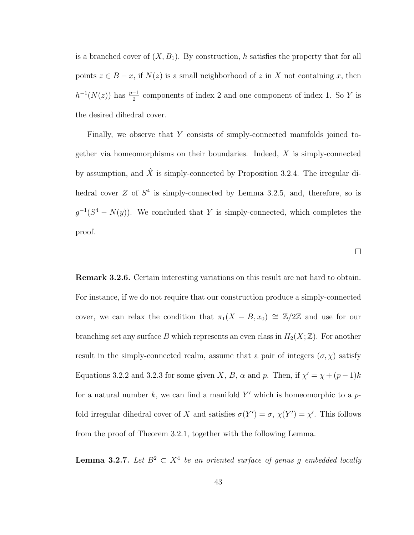is a branched cover of  $(X, B_1)$ . By construction, h satisfies the property that for all points  $z \in B - x$ , if  $N(z)$  is a small neighborhood of z in X not containing x, then  $h^{-1}(N(z))$  has  $\frac{p-1}{2}$  components of index 2 and one component of index 1. So Y is the desired dihedral cover.

Finally, we observe that Y consists of simply-connected manifolds joined together via homeomorphisms on their boundaries. Indeed,  $X$  is simply-connected by assumption, and  $\hat{X}$  is simply-connected by Proposition 3.2.4. The irregular dihedral cover  $Z$  of  $S^4$  is simply-connected by Lemma 3.2.5, and, therefore, so is  $g^{-1}(S^4 - N(y))$ . We concluded that Y is simply-connected, which completes the proof.

 $\Box$ 

Remark 3.2.6. Certain interesting variations on this result are not hard to obtain. For instance, if we do not require that our construction produce a simply-connected cover, we can relax the condition that  $\pi_1(X - B, x_0) \cong \mathbb{Z}/2\mathbb{Z}$  and use for our branching set any surface B which represents an even class in  $H_2(X; \mathbb{Z})$ . For another result in the simply-connected realm, assume that a pair of integers  $(\sigma, \chi)$  satisfy Equations 3.2.2 and 3.2.3 for some given X, B,  $\alpha$  and p. Then, if  $\chi' = \chi + (p-1)k$ for a natural number  $k$ , we can find a manifold Y' which is homeomorphic to a  $p$ fold irregular dihedral cover of X and satisfies  $\sigma(Y') = \sigma$ ,  $\chi(Y') = \chi'$ . This follows from the proof of Theorem 3.2.1, together with the following Lemma.

**Lemma 3.2.7.** Let  $B^2 \subset X^4$  be an oriented surface of genus g embedded locally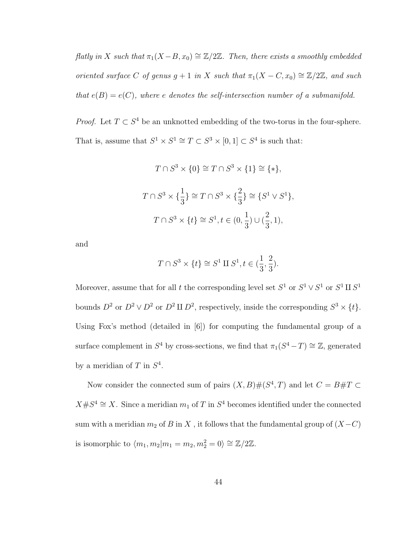flatly in X such that  $\pi_1(X - B, x_0) \cong \mathbb{Z}/2\mathbb{Z}$ . Then, there exists a smoothly embedded oriented surface C of genus  $g + 1$  in X such that  $\pi_1(X - C, x_0) \cong \mathbb{Z}/2\mathbb{Z}$ , and such that  $e(B) = e(C)$ , where e denotes the self-intersection number of a submanifold.

*Proof.* Let  $T \subset S^4$  be an unknotted embedding of the two-torus in the four-sphere. That is, assume that  $S^1 \times S^1 \cong T \subset S^3 \times [0,1] \subset S^4$  is such that:

$$
T \cap S^3 \times \{0\} \cong T \cap S^3 \times \{1\} \cong \{*\},
$$
  

$$
T \cap S^3 \times \{\frac{1}{3}\} \cong T \cap S^3 \times \{\frac{2}{3}\} \cong \{S^1 \vee S^1\},
$$
  

$$
T \cap S^3 \times \{t\} \cong S^1, t \in (0, \frac{1}{3}) \cup (\frac{2}{3}, 1),
$$

and

$$
T\cap S^3\times\{t\}\cong S^1\amalg S^1, t\in(\frac13,\frac23).
$$

Moreover, assume that for all t the corresponding level set  $S^1$  or  $S^1 \vee S^1$  or  $S^1 \amalg S^1$ bounds  $D^2$  or  $D^2 \vee D^2$  or  $D^2 \amalg D^2$ , respectively, inside the corresponding  $S^3 \times \{t\}$ . Using Fox's method (detailed in [6]) for computing the fundamental group of a surface complement in  $S^4$  by cross-sections, we find that  $\pi_1(S^4 - T) \cong \mathbb{Z}$ , generated by a meridian of T in  $S<sup>4</sup>$ .

Now consider the connected sum of pairs  $(X, B) \# (S^4, T)$  and let  $C = B \# T \subset$  $X \# S^4 \cong X$ . Since a meridian  $m_1$  of T in  $S^4$  becomes identified under the connected sum with a meridian  $m_2$  of B in X, it follows that the fundamental group of  $(X-C)$ is isomorphic to  $\langle m_1, m_2 | m_1 = m_2, m_2^2 = 0 \rangle \cong \mathbb{Z}/2\mathbb{Z}$ .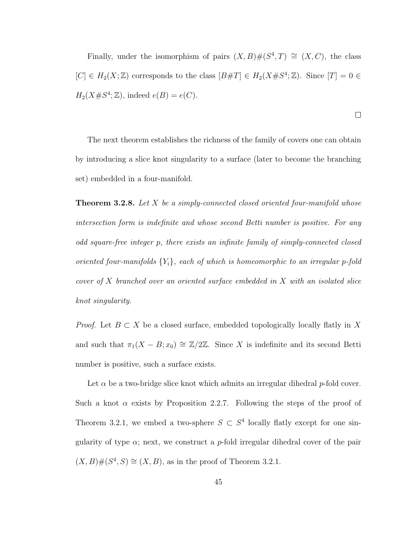Finally, under the isomorphism of pairs  $(X, B) \# (S^4, T) \cong (X, C)$ , the class  $[C] \in H_2(X;\mathbb{Z})$  corresponds to the class  $[B \# T] \in H_2(X \# S^4; \mathbb{Z})$ . Since  $[T] = 0 \in$  $H_2(X \# S^4; \mathbb{Z})$ , indeed  $e(B) = e(C)$ .

 $\Box$ 

The next theorem establishes the richness of the family of covers one can obtain by introducing a slice knot singularity to a surface (later to become the branching set) embedded in a four-manifold.

**Theorem 3.2.8.** Let X be a simply-connected closed oriented four-manifold whose intersection form is indefinite and whose second Betti number is positive. For any odd square-free integer p, there exists an infinite family of simply-connected closed oriented four-manifolds  ${Y_i}$ , each of which is homeomorphic to an irregular p-fold cover of X branched over an oriented surface embedded in X with an isolated slice knot singularity.

*Proof.* Let  $B \subset X$  be a closed surface, embedded topologically locally flatly in X and such that  $\pi_1(X - B; x_0) \cong \mathbb{Z}/2\mathbb{Z}$ . Since X is indefinite and its second Betti number is positive, such a surface exists.

Let  $\alpha$  be a two-bridge slice knot which admits an irregular dihedral p-fold cover. Such a knot  $\alpha$  exists by Proposition 2.2.7. Following the steps of the proof of Theorem 3.2.1, we embed a two-sphere  $S \subset S^4$  locally flatly except for one singularity of type  $\alpha$ ; next, we construct a *p*-fold irregular dihedral cover of the pair  $(X, B)$ # $(S<sup>4</sup>, S) \cong (X, B)$ , as in the proof of Theorem 3.2.1.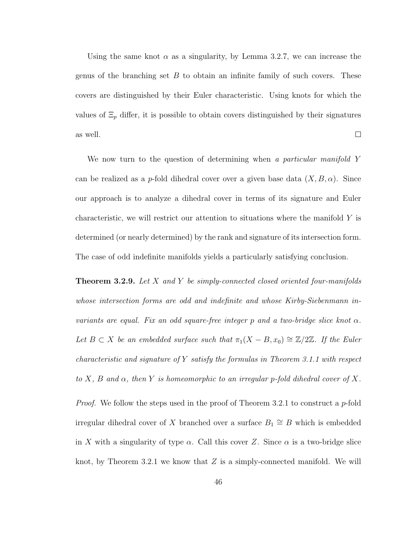Using the same knot  $\alpha$  as a singularity, by Lemma 3.2.7, we can increase the genus of the branching set  $B$  to obtain an infinite family of such covers. These covers are distinguished by their Euler characteristic. Using knots for which the values of  $\Xi_p$  differ, it is possible to obtain covers distinguished by their signatures as well.  $\Box$ 

We now turn to the question of determining when a particular manifold Y can be realized as a *p*-fold dihedral cover over a given base data  $(X, B, \alpha)$ . Since our approach is to analyze a dihedral cover in terms of its signature and Euler characteristic, we will restrict our attention to situations where the manifold Y is determined (or nearly determined) by the rank and signature of its intersection form. The case of odd indefinite manifolds yields a particularly satisfying conclusion.

**Theorem 3.2.9.** Let  $X$  and  $Y$  be simply-connected closed oriented four-manifolds whose intersection forms are odd and indefinite and whose Kirby-Siebenmann invariants are equal. Fix an odd square-free integer p and a two-bridge slice knot  $\alpha$ . Let  $B \subset X$  be an embedded surface such that  $\pi_1(X - B, x_0) \cong \mathbb{Z}/2\mathbb{Z}$ . If the Euler characteristic and signature of Y satisfy the formulas in Theorem 3.1.1 with respect to X, B and  $\alpha$ , then Y is homeomorphic to an irregular p-fold dihedral cover of X.

*Proof.* We follow the steps used in the proof of Theorem 3.2.1 to construct a  $p$ -fold irregular dihedral cover of X branched over a surface  $B_1 \cong B$  which is embedded in X with a singularity of type  $\alpha$ . Call this cover Z. Since  $\alpha$  is a two-bridge slice knot, by Theorem 3.2.1 we know that  $Z$  is a simply-connected manifold. We will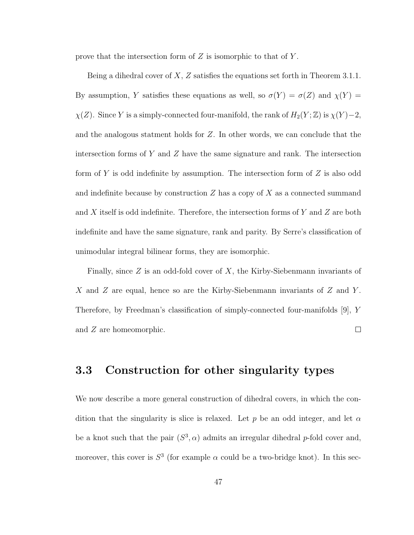prove that the intersection form of  $Z$  is isomorphic to that of  $Y$ .

Being a dihedral cover of  $X, Z$  satisfies the equations set forth in Theorem 3.1.1. By assumption, Y satisfies these equations as well, so  $\sigma(Y) = \sigma(Z)$  and  $\chi(Y) =$  $\chi(Z)$ . Since Y is a simply-connected four-manifold, the rank of  $H_2(Y; \mathbb{Z})$  is  $\chi(Y) - 2$ , and the analogous statment holds for Z. In other words, we can conclude that the intersection forms of  $Y$  and  $Z$  have the same signature and rank. The intersection form of  $Y$  is odd indefinite by assumption. The intersection form of  $Z$  is also odd and indefinite because by construction  $Z$  has a copy of  $X$  as a connected summand and X itself is odd indefinite. Therefore, the intersection forms of Y and Z are both indefinite and have the same signature, rank and parity. By Serre's classification of unimodular integral bilinear forms, they are isomorphic.

Finally, since  $Z$  is an odd-fold cover of  $X$ , the Kirby-Siebenmann invariants of X and Z are equal, hence so are the Kirby-Siebenmann invariants of  $Z$  and  $Y$ . Therefore, by Freedman's classification of simply-connected four-manifolds [9], Y and Z are homeomorphic.  $\Box$ 

#### 3.3 Construction for other singularity types

We now describe a more general construction of dihedral covers, in which the condition that the singularity is slice is relaxed. Let p be an odd integer, and let  $\alpha$ be a knot such that the pair  $(S^3, \alpha)$  admits an irregular dihedral p-fold cover and, moreover, this cover is  $S^3$  (for example  $\alpha$  could be a two-bridge knot). In this sec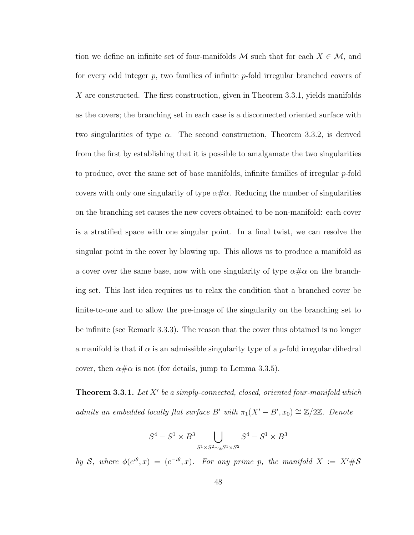tion we define an infinite set of four-manifolds M such that for each  $X \in \mathcal{M}$ , and for every odd integer p, two families of infinite p-fold irregular branched covers of X are constructed. The first construction, given in Theorem 3.3.1, yields manifolds as the covers; the branching set in each case is a disconnected oriented surface with two singularities of type  $\alpha$ . The second construction, Theorem 3.3.2, is derived from the first by establishing that it is possible to amalgamate the two singularities to produce, over the same set of base manifolds, infinite families of irregular  $p$ -fold covers with only one singularity of type  $\alpha \# \alpha$ . Reducing the number of singularities on the branching set causes the new covers obtained to be non-manifold: each cover is a stratified space with one singular point. In a final twist, we can resolve the singular point in the cover by blowing up. This allows us to produce a manifold as a cover over the same base, now with one singularity of type  $\alpha \# \alpha$  on the branching set. This last idea requires us to relax the condition that a branched cover be finite-to-one and to allow the pre-image of the singularity on the branching set to be infinite (see Remark 3.3.3). The reason that the cover thus obtained is no longer a manifold is that if  $\alpha$  is an admissible singularity type of a p-fold irregular dihedral cover, then  $\alpha \# \alpha$  is not (for details, jump to Lemma 3.3.5).

**Theorem 3.3.1.** Let  $X'$  be a simply-connected, closed, oriented four-manifold which admits an embedded locally flat surface B' with  $\pi_1(X'-B', x_0) \cong \mathbb{Z}/2\mathbb{Z}$ . Denote

$$
S^4 - S^1 \times B^3 \bigcup_{S^1 \times S^2 \sim_\phi S^1 \times S^2} S^4 - S^1 \times B^3
$$

by S, where  $\phi(e^{i\theta},x) = (e^{-i\theta},x)$ . For any prime p, the manifold  $X := X'\#S$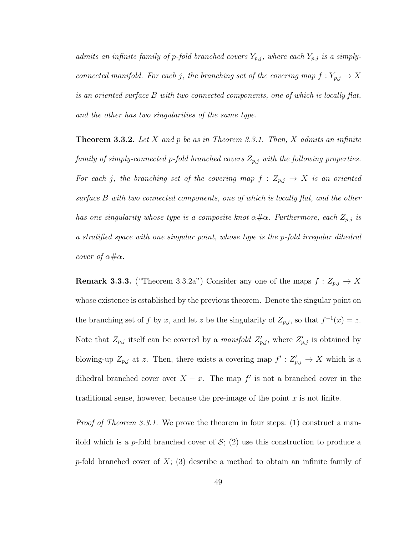admits an infinite family of p-fold branched covers  $Y_{p,j}$ , where each  $Y_{p,j}$  is a simplyconnected manifold. For each j, the branching set of the covering map  $f: Y_{p,j} \to X$ is an oriented surface B with two connected components, one of which is locally flat, and the other has two singularities of the same type.

**Theorem 3.3.2.** Let X and p be as in Theorem 3.3.1. Then, X admits an infinite family of simply-connected p-fold branched covers  $Z_{p,j}$  with the following properties. For each j, the branching set of the covering map  $f: Z_{p,j} \to X$  is an oriented surface B with two connected components, one of which is locally flat, and the other has one singularity whose type is a composite knot  $\alpha \# \alpha$ . Furthermore, each  $Z_{p,j}$  is a stratified space with one singular point, whose type is the p-fold irregular dihedral cover of  $\alpha \# \alpha$ .

**Remark 3.3.3.** ("Theorem 3.3.2a") Consider any one of the maps  $f: Z_{p,j} \to X$ whose existence is established by the previous theorem. Denote the singular point on the branching set of f by x, and let z be the singularity of  $Z_{p,j}$ , so that  $f^{-1}(x) = z$ . Note that  $Z_{p,j}$  itself can be covered by a *manifold*  $Z'_{p,j}$ , where  $Z'_{p,j}$  is obtained by blowing-up  $Z_{p,j}$  at z. Then, there exists a covering map  $f': Z'_{p,j} \to X$  which is a dihedral branched cover over  $X - x$ . The map f' is not a branched cover in the traditional sense, however, because the pre-image of the point  $x$  is not finite.

Proof of Theorem 3.3.1. We prove the theorem in four steps: (1) construct a manifold which is a p-fold branched cover of  $S$ ; (2) use this construction to produce a p-fold branched cover of  $X$ ; (3) describe a method to obtain an infinite family of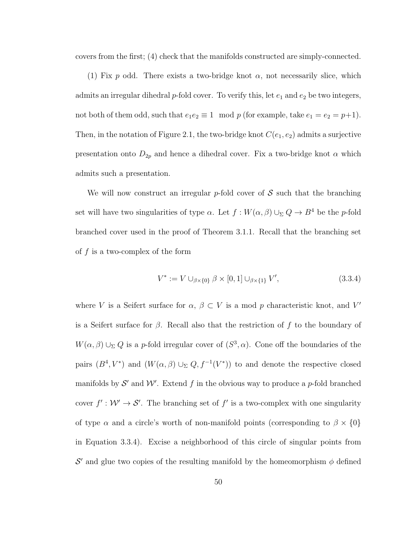covers from the first; (4) check that the manifolds constructed are simply-connected.

(1) Fix p odd. There exists a two-bridge knot  $\alpha$ , not necessarily slice, which admits an irregular dihedral  $p$ -fold cover. To verify this, let  $e_1$  and  $e_2$  be two integers, not both of them odd, such that  $e_1e_2 \equiv 1 \mod p$  (for example, take  $e_1 = e_2 = p+1$ ). Then, in the notation of Figure 2.1, the two-bridge knot  $C(e_1, e_2)$  admits a surjective presentation onto  $D_{2p}$  and hence a dihedral cover. Fix a two-bridge knot  $\alpha$  which admits such a presentation.

We will now construct an irregular p-fold cover of  $S$  such that the branching set will have two singularities of type  $\alpha$ . Let  $f : W(\alpha, \beta) \cup_{\Sigma} Q \to B^4$  be the p-fold branched cover used in the proof of Theorem 3.1.1. Recall that the branching set of  $f$  is a two-complex of the form

$$
V^* := V \cup_{\beta \times \{0\}} \beta \times [0,1] \cup_{\beta \times \{1\}} V', \tag{3.3.4}
$$

where V is a Seifert surface for  $\alpha$ ,  $\beta \subset V$  is a mod p characteristic knot, and V' is a Seifert surface for  $\beta$ . Recall also that the restriction of f to the boundary of  $W(\alpha, \beta) \cup_{\Sigma} Q$  is a *p*-fold irregular cover of  $(S^3, \alpha)$ . Cone off the boundaries of the pairs  $(B^4, V^*)$  and  $(W(\alpha, \beta) \cup_{\Sigma} Q, f^{-1}(V^*))$  to and denote the respective closed manifolds by  $\mathcal{S}'$  and  $\mathcal{W}'$ . Extend f in the obvious way to produce a p-fold branched cover  $f': \mathcal{W}' \to \mathcal{S}'$ . The branching set of f' is a two-complex with one singularity of type  $\alpha$  and a circle's worth of non-manifold points (corresponding to  $\beta \times \{0\}$ in Equation 3.3.4). Excise a neighborhood of this circle of singular points from S' and glue two copies of the resulting manifold by the homeomorphism  $\phi$  defined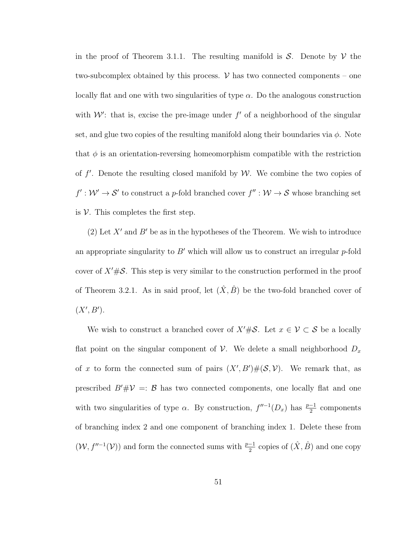in the proof of Theorem 3.1.1. The resulting manifold is  $S$ . Denote by  $\mathcal V$  the two-subcomplex obtained by this process.  $\mathcal V$  has two connected components – one locally flat and one with two singularities of type  $\alpha$ . Do the analogous construction with  $W'$ : that is, excise the pre-image under  $f'$  of a neighborhood of the singular set, and glue two copies of the resulting manifold along their boundaries via  $\phi$ . Note that  $\phi$  is an orientation-reversing homeomorphism compatible with the restriction of  $f'$ . Denote the resulting closed manifold by W. We combine the two copies of  $f': \mathcal{W}' \to \mathcal{S}'$  to construct a p-fold branched cover  $f'': \mathcal{W} \to \mathcal{S}$  whose branching set is  $V$ . This completes the first step.

(2) Let  $X'$  and  $B'$  be as in the hypotheses of the Theorem. We wish to introduce an appropriate singularity to  $B'$  which will allow us to construct an irregular p-fold cover of  $X'\#\mathcal{S}$ . This step is very similar to the construction performed in the proof of Theorem 3.2.1. As in said proof, let  $(\hat{X}, \hat{B})$  be the two-fold branched cover of  $(X', B')$ .

We wish to construct a branched cover of  $X'\#S$ . Let  $x \in \mathcal{V} \subset S$  be a locally flat point on the singular component of  $\mathcal V$ . We delete a small neighborhood  $D_x$ of x to form the connected sum of pairs  $(X', B')#(\mathcal{S}, \mathcal{V})$ . We remark that, as prescribed  $B' \# V =: B$  has two connected components, one locally flat and one with two singularities of type  $\alpha$ . By construction,  $f''^{-1}(D_x)$  has  $\frac{p-1}{2}$  components of branching index 2 and one component of branching index 1. Delete these from  $(\mathcal{W}, f''^{-1}(\mathcal{V}))$  and form the connected sums with  $\frac{p-1}{2}$  copies of  $(\hat{X}, \hat{B})$  and one copy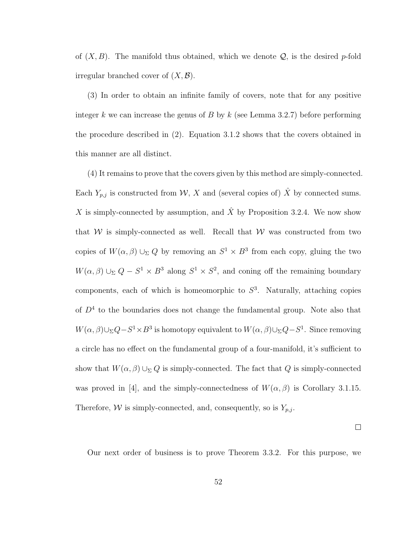of  $(X, B)$ . The manifold thus obtained, which we denote  $\mathcal{Q}$ , is the desired p-fold irregular branched cover of  $(X, \mathcal{B})$ .

(3) In order to obtain an infinite family of covers, note that for any positive integer k we can increase the genus of B by k (see Lemma 3.2.7) before performing the procedure described in (2). Equation 3.1.2 shows that the covers obtained in this manner are all distinct.

(4) It remains to prove that the covers given by this method are simply-connected. Each  $Y_{p,j}$  is constructed from  $\mathcal{W}, X$  and (several copies of)  $\hat{X}$  by connected sums. X is simply-connected by assumption, and  $\hat{X}$  by Proposition 3.2.4. We now show that  $W$  is simply-connected as well. Recall that  $W$  was constructed from two copies of  $W(\alpha, \beta) \cup_{\Sigma} Q$  by removing an  $S^1 \times B^3$  from each copy, gluing the two  $W(\alpha, \beta) \cup_{\Sigma} Q - S^1 \times B^3$  along  $S^1 \times S^2$ , and coning off the remaining boundary components, each of which is homeomorphic to  $S<sup>3</sup>$ . Naturally, attaching copies of  $D<sup>4</sup>$  to the boundaries does not change the fundamental group. Note also that  $W(\alpha, \beta) \cup_{\Sigma} Q - S^1 \times B^3$  is homotopy equivalent to  $W(\alpha, \beta) \cup_{\Sigma} Q - S^1$ . Since removing a circle has no effect on the fundamental group of a four-manifold, it's sufficient to show that  $W(\alpha,\beta)\cup_{\Sigma} Q$  is simply-connected. The fact that  $Q$  is simply-connected was proved in [4], and the simply-connectedness of  $W(\alpha, \beta)$  is Corollary 3.1.15. Therefore,  $W$  is simply-connected, and, consequently, so is  $Y_{p,j}$ .

 $\Box$ 

Our next order of business is to prove Theorem 3.3.2. For this purpose, we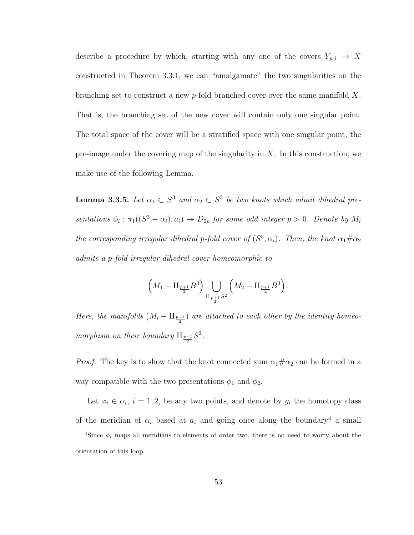describe a procedure by which, starting with any one of the covers  $Y_{p,j} \to X$ constructed in Theorem 3.3.1, we can "amalgamate" the two singularities on the branching set to construct a new p-fold branched cover over the same manifold  $X$ . That is, the branching set of the new cover will contain only one singular point. The total space of the cover will be a stratified space with one singular point, the pre-image under the covering map of the singularity in  $X$ . In this construction, we make use of the following Lemma.

**Lemma 3.3.5.** Let  $\alpha_1 \subset S^3$  and  $\alpha_2 \subset S^3$  be two knots which admit dihedral presentations  $\phi_i : \pi_1((S^3 - \alpha_i), a_i) \to D_{2p}$  for some odd integer  $p > 0$ . Denote by  $M_i$ the corresponding irregular dihedral p-fold cover of  $(S^3, \alpha_i)$ . Then, the knot  $\alpha_1 \# \alpha_2$ admits a p-fold irregular dihedral cover homeomorphic to

$$
(M_1 - \amalg_{\frac{p+1}{2}} B^3) \bigcup_{\amalg_{\frac{p+1}{2}} S^2} \left( M_2 - \amalg_{\frac{p+1}{2}} B^3 \right).
$$

Here, the manifolds  $(M_i - \amalg_{\frac{p+1}{2}})$  are attached to each other by the identity homeomorphism on their boundary  $\mathbb{H}_{\frac{p+1}{2}}S^2$ .

*Proof.* The key is to show that the knot connected sum  $\alpha_1 \# \alpha_2$  can be formed in a way compatible with the two presentations  $\phi_1$  and  $\phi_2$ .

Let  $x_i \in \alpha_i$ ,  $i = 1, 2$ , be any two points, and denote by  $g_i$  the homotopy class of the meridian of  $\alpha_i$  based at  $a_i$  and going once along the boundary<sup>4</sup> a small

<sup>&</sup>lt;sup>4</sup>Since  $\phi_i$  maps all meridians to elements of order two, there is no need to worry about the orientation of this loop.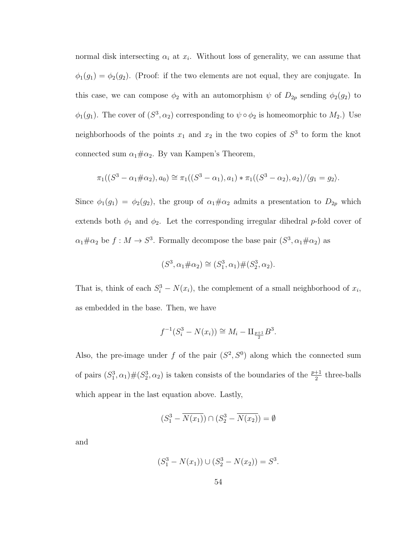normal disk intersecting  $\alpha_i$  at  $x_i$ . Without loss of generality, we can assume that  $\phi_1(g_1) = \phi_2(g_2)$ . (Proof: if the two elements are not equal, they are conjugate. In this case, we can compose  $\phi_2$  with an automorphism  $\psi$  of  $D_{2p}$  sending  $\phi_2(g_2)$  to  $\phi_1(g_1)$ . The cover of  $(S^3, \alpha_2)$  corresponding to  $\psi \circ \phi_2$  is homeomorphic to  $M_2$ .) Use neighborhoods of the points  $x_1$  and  $x_2$  in the two copies of  $S^3$  to form the knot connected sum  $\alpha_1 \# \alpha_2$ . By van Kampen's Theorem,

$$
\pi_1((S^3 - \alpha_1 \# \alpha_2), a_0) \cong \pi_1((S^3 - \alpha_1), a_1) * \pi_1((S^3 - \alpha_2), a_2) / \langle g_1 = g_2 \rangle.
$$

Since  $\phi_1(g_1) = \phi_2(g_2)$ , the group of  $\alpha_1 \# \alpha_2$  admits a presentation to  $D_{2p}$  which extends both  $\phi_1$  and  $\phi_2$ . Let the corresponding irregular dihedral p-fold cover of  $\alpha_1 \# \alpha_2$  be  $f: M \to S^3$ . Formally decompose the base pair  $(S^3, \alpha_1 \# \alpha_2)$  as

$$
(S^3, \alpha_1 \# \alpha_2) \cong (S_1^3, \alpha_1) \# (S_2^3, \alpha_2).
$$

That is, think of each  $S_i^3 - N(x_i)$ , the complement of a small neighborhood of  $x_i$ , as embedded in the base. Then, we have

$$
f^{-1}(S_i^3 - N(x_i)) \cong M_i - \mathbb{I}_{\frac{p+1}{2}} B^3.
$$

Also, the pre-image under f of the pair  $(S^2, S^0)$  along which the connected sum of pairs  $(S_1^3, \alpha_1)$   $\#(S_2^3, \alpha_2)$  is taken consists of the boundaries of the  $\frac{p+1}{2}$  three-balls which appear in the last equation above. Lastly,

$$
(S_1^3 - \overline{N(x_1)}) \cap (S_2^3 - \overline{N(x_2)}) = \emptyset
$$

and

$$
(S_1^3 - N(x_1)) \cup (S_2^3 - N(x_2)) = S^3.
$$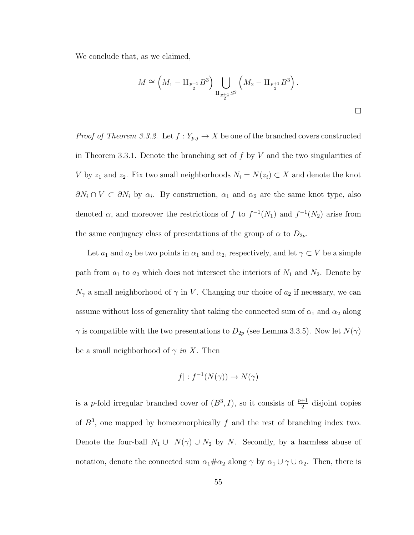We conclude that, as we claimed,

$$
M \cong \left(M_1 - \mathop{\rm II}_{\frac{p+1}{2}} B^3\right) \bigcup_{\mathop{\rm II}_{\frac{p+1}{2}} S^2} \left(M_2 - \mathop{\rm II}_{\frac{p+1}{2}} B^3\right).
$$

*Proof of Theorem 3.3.2.* Let  $f: Y_{p,j} \to X$  be one of the branched covers constructed in Theorem 3.3.1. Denote the branching set of  $f$  by  $V$  and the two singularities of V by  $z_1$  and  $z_2$ . Fix two small neighborhoods  $N_i = N(z_i) \subset X$  and denote the knot  $\partial N_i \cap V \subset \partial N_i$  by  $\alpha_i$ . By construction,  $\alpha_1$  and  $\alpha_2$  are the same knot type, also denoted  $\alpha$ , and moreover the restrictions of f to  $f^{-1}(N_1)$  and  $f^{-1}(N_2)$  arise from the same conjugacy class of presentations of the group of  $\alpha$  to  $D_{2p}$ .

Let  $a_1$  and  $a_2$  be two points in  $\alpha_1$  and  $\alpha_2$ , respectively, and let  $\gamma \subset V$  be a simple path from  $a_1$  to  $a_2$  which does not intersect the interiors of  $N_1$  and  $N_2$ . Denote by  $N_{\gamma}$  a small neighborhood of  $\gamma$  in V. Changing our choice of  $a_2$  if necessary, we can assume without loss of generality that taking the connected sum of  $\alpha_1$  and  $\alpha_2$  along  $\gamma$  is compatible with the two presentations to  $D_{2p}$  (see Lemma 3.3.5). Now let  $N(\gamma)$ be a small neighborhood of  $\gamma$  in X. Then

$$
f|: f^{-1}(N(\gamma)) \to N(\gamma)
$$

is a p-fold irregular branched cover of  $(B^3, I)$ , so it consists of  $\frac{p+1}{2}$  disjoint copies of  $B^3$ , one mapped by homeomorphically f and the rest of branching index two. Denote the four-ball  $N_1 \cup N(\gamma) \cup N_2$  by N. Secondly, by a harmless abuse of notation, denote the connected sum  $\alpha_1 \# \alpha_2$  along  $\gamma$  by  $\alpha_1 \cup \gamma \cup \alpha_2$ . Then, there is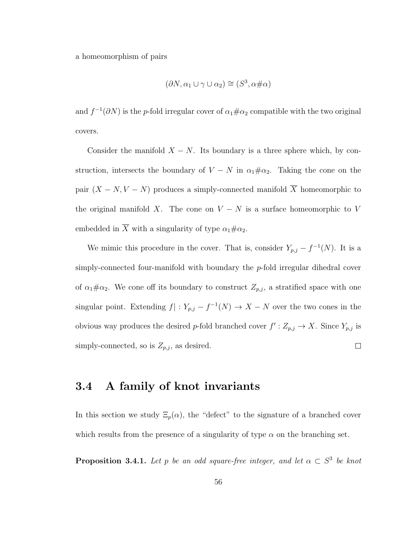a homeomorphism of pairs

$$
(\partial N, \alpha_1 \cup \gamma \cup \alpha_2) \cong (S^3, \alpha \# \alpha)
$$

and  $f^{-1}(\partial N)$  is the p-fold irregular cover of  $\alpha_1 \# \alpha_2$  compatible with the two original covers.

Consider the manifold  $X - N$ . Its boundary is a three sphere which, by construction, intersects the boundary of  $V - N$  in  $\alpha_1 \# \alpha_2$ . Taking the cone on the pair  $(X - N, V - N)$  produces a simply-connected manifold  $\overline{X}$  homeomorphic to the original manifold X. The cone on  $V - N$  is a surface homeomorphic to V embedded in  $\overline{X}$  with a singularity of type  $\alpha_1 \# \alpha_2$ .

We mimic this procedure in the cover. That is, consider  $Y_{p,j} - f^{-1}(N)$ . It is a simply-connected four-manifold with boundary the  $p$ -fold irregular dihedral cover of  $\alpha_1 \# \alpha_2$ . We cone off its boundary to construct  $Z_{p,j}$ , a stratified space with one singular point. Extending  $f: Y_{p,j} - f^{-1}(N) \to X - N$  over the two cones in the obvious way produces the desired p-fold branched cover  $f' : Z_{p,j} \to X$ . Since  $Y_{p,j}$  is simply-connected, so is  $Z_{p,j}$ , as desired.  $\Box$ 

#### 3.4 A family of knot invariants

In this section we study  $\Xi_p(\alpha)$ , the "defect" to the signature of a branched cover which results from the presence of a singularity of type  $\alpha$  on the branching set.

**Proposition 3.4.1.** Let p be an odd square-free integer, and let  $\alpha \subset S^3$  be knot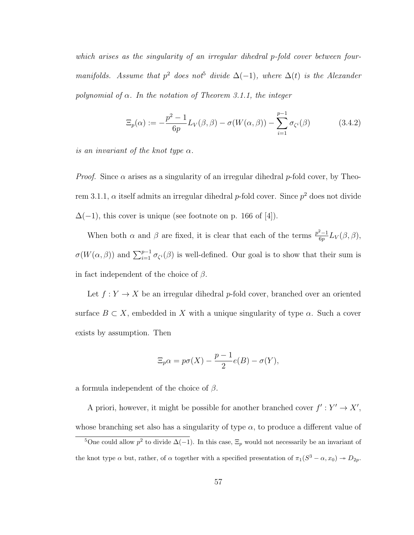which arises as the singularity of an irregular dihedral p-fold cover between fourmanifolds. Assume that  $p^2$  does not<sup>5</sup> divide  $\Delta(-1)$ , where  $\Delta(t)$  is the Alexander polynomial of  $\alpha$ . In the notation of Theorem 3.1.1, the integer

$$
\Xi_p(\alpha) := -\frac{p^2 - 1}{6p} L_V(\beta, \beta) - \sigma(W(\alpha, \beta)) - \sum_{i=1}^{p-1} \sigma_{\zeta^i}(\beta)
$$
(3.4.2)

is an invariant of the knot type  $\alpha$ .

*Proof.* Since  $\alpha$  arises as a singularity of an irregular dihedral p-fold cover, by Theorem 3.1.1,  $\alpha$  itself admits an irregular dihedral p-fold cover. Since  $p^2$  does not divide  $\Delta(-1)$ , this cover is unique (see footnote on p. 166 of [4]).

When both  $\alpha$  and  $\beta$  are fixed, it is clear that each of the terms  $\frac{p^2-1}{6p}$  $\frac{\varepsilon-1}{6p}L_V(\beta,\beta),$  $\sigma(W(\alpha, \beta))$  and  $\sum_{i=1}^{p-1} \sigma_{\zeta_i}(\beta)$  is well-defined. Our goal is to show that their sum is in fact independent of the choice of  $\beta$ .

Let  $f: Y \to X$  be an irregular dihedral p-fold cover, branched over an oriented surface  $B \subset X$ , embedded in X with a unique singularity of type  $\alpha$ . Such a cover exists by assumption. Then

$$
\Xi_p \alpha = p\sigma(X) - \frac{p-1}{2}e(B) - \sigma(Y),
$$

a formula independent of the choice of  $\beta$ .

A priori, however, it might be possible for another branched cover  $f': Y' \to X'$ , whose branching set also has a singularity of type  $\alpha$ , to produce a different value of

<sup>&</sup>lt;sup>5</sup>One could allow  $p^2$  to divide  $\Delta(-1)$ . In this case,  $\Xi_p$  would not necessarily be an invariant of the knot type  $\alpha$  but, rather, of  $\alpha$  together with a specified presentation of  $\pi_1(S^3 - \alpha, x_0) \to D_{2p}$ .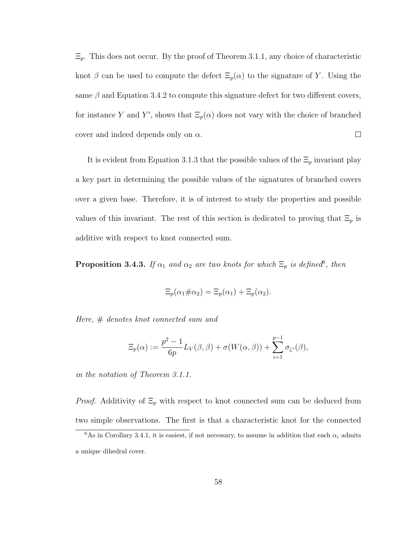$\Xi_p$ . This does not occur. By the proof of Theorem 3.1.1, any choice of characteristic knot  $\beta$  can be used to compute the defect  $\Xi_p(\alpha)$  to the signature of Y. Using the same  $\beta$  and Equation 3.4.2 to compute this signature defect for two different covers, for instance Y and Y', shows that  $\Xi_p(\alpha)$  does not vary with the choice of branched  $\Box$ cover and indeed depends only on  $\alpha$ .

It is evident from Equation 3.1.3 that the possible values of the  $\Xi_p$  invariant play a key part in determining the possible values of the signatures of branched covers over a given base. Therefore, it is of interest to study the properties and possible values of this invariant. The rest of this section is dedicated to proving that  $\Xi_p$  is additive with respect to knot connected sum.

**Proposition 3.4.3.** If  $\alpha_1$  and  $\alpha_2$  are two knots for which  $\Xi_p$  is defined, then

$$
\Xi_p(\alpha_1 \# \alpha_2) = \Xi_p(\alpha_1) + \Xi_p(\alpha_2).
$$

Here, # denotes knot connected sum and

$$
\Xi_p(\alpha) := \frac{p^2 - 1}{6p} L_V(\beta, \beta) + \sigma(W(\alpha, \beta)) + \sum_{i=1}^{p-1} \sigma_{\zeta^i}(\beta),
$$

in the notation of Theorem 3.1.1.

*Proof.* Additivity of  $\Xi_p$  with respect to knot connected sum can be deduced from two simple observations. The first is that a characteristic knot for the connected

<sup>&</sup>lt;sup>6</sup>As in Corollary 3.4.1, it is easiest, if not necessary, to assume in addition that each  $\alpha_i$  admits a unique dihedral cover.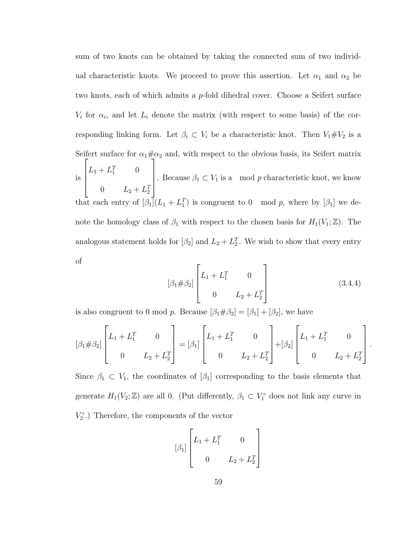sum of two knots can be obtained by taking the connected sum of two individual characteristic knots. We proceed to prove this assertion. Let  $\alpha_1$  and  $\alpha_2$  be two knots, each of which admits a p-fold dihedral cover. Choose a Seifert surface  $V_i$  for  $\alpha_i$ , and let  $L_i$  denote the matrix (with respect to some basis) of the corresponding linking form. Let  $\beta_i \subset V_i$  be a characteristic knot. Then  $V_1 \# V_2$  is a Seifert surface for  $\alpha_1 \# \alpha_2$  and, with respect to the obvious basis, its Seifert matrix is  $\sqrt{ }$  $\begin{matrix} \phantom{-} \end{matrix}$  $L_1 + L_1^T$  0 0  $L_2 + L_2^T$ 1  $\begin{matrix} \phantom{-} \end{matrix}$ . Because  $\beta_1 \subset V_1$  is a mod p characteristic knot, we know that each entry of  $[\beta_1](L_1 + L_1^T)$  is congruent to 0 mod p, where by  $[\beta_1]$  we denote the homology class of  $\beta_1$  with respect to the chosen basis for  $H_1(V_1; \mathbb{Z})$ . The analogous statement holds for  $\left[\beta_2\right]$  and  $L_2 + L_2^T$ . We wish to show that every entry of

$$
[\beta_1 \# \beta_2] \begin{bmatrix} L_1 + L_1^T & 0 \\ 0 & L_2 + L_2^T \end{bmatrix}
$$
 (3.4.4)

.

is also congruent to 0 mod p. Because  $[\beta_1 \# \beta_2] = [\beta_1] + [\beta_2]$ , we have

$$
[\beta_1 \# \beta_2] \begin{bmatrix} L_1 + L_1^T & 0 \\ 0 & L_2 + L_2^T \end{bmatrix} = [\beta_1] \begin{bmatrix} L_1 + L_1^T & 0 \\ 0 & L_2 + L_2^T \end{bmatrix} + [\beta_2] \begin{bmatrix} L_1 + L_1^T & 0 \\ 0 & L_2 + L_2^T \end{bmatrix}
$$

Since  $\beta_1 \subset V_1$ , the coordinates of  $[\beta_1]$  corresponding to the basis elements that generate  $H_1(V_2; \mathbb{Z})$  are all 0. (Put differently,  $\beta_1 \subset V_1^{\circ}$  does not link any curve in  $V_2^{\circ}$  .) Therefore, the components of the vector

$$
\begin{bmatrix} \beta_1 \end{bmatrix} \begin{bmatrix} L_1 + L_1^T & 0 \\ 0 & L_2 + L_2^T \end{bmatrix}
$$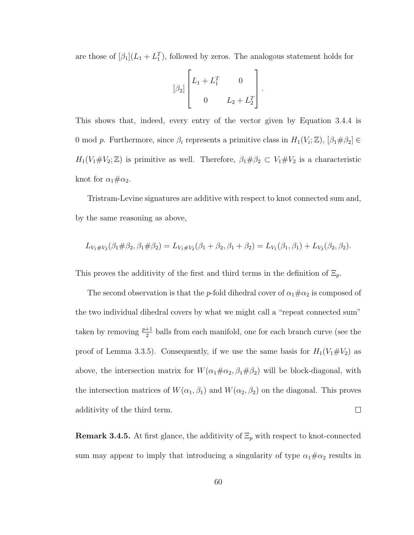are those of  $[\beta_1](L_1 + L_1^T)$ , followed by zeros. The analogous statement holds for

$$
[\beta_2] \begin{bmatrix} L_1 + L_1^T & 0 \\ 0 & L_2 + L_2^T \end{bmatrix}.
$$

This shows that, indeed, every entry of the vector given by Equation 3.4.4 is 0 mod p. Furthermore, since  $\beta_i$  represents a primitive class in  $H_1(V_i; \mathbb{Z})$ ,  $[\beta_1 \# \beta_2] \in$  $H_1(V_1 \# V_2; \mathbb{Z})$  is primitive as well. Therefore,  $\beta_1 \# \beta_2 \subset V_1 \# V_2$  is a characteristic knot for  $\alpha_1 \# \alpha_2$ .

Tristram-Levine signatures are additive with respect to knot connected sum and, by the same reasoning as above,

$$
L_{V_1 \# V_2}(\beta_1 \# \beta_2, \beta_1 \# \beta_2) = L_{V_1 \# V_2}(\beta_1 + \beta_2, \beta_1 + \beta_2) = L_{V_1}(\beta_1, \beta_1) + L_{V_2}(\beta_2, \beta_2).
$$

This proves the additivity of the first and third terms in the definition of  $\Xi_p$ .

The second observation is that the p-fold dihedral cover of  $\alpha_1 \# \alpha_2$  is composed of the two individual dihedral covers by what we might call a "repeat connected sum" taken by removing  $\frac{p+1}{2}$  balls from each manifold, one for each branch curve (see the proof of Lemma 3.3.5). Consequently, if we use the same basis for  $H_1(V_1 \# V_2)$  as above, the intersection matrix for  $W(\alpha_1 \# \alpha_2, \beta_1 \# \beta_2)$  will be block-diagonal, with the intersection matrices of  $W(\alpha_1, \beta_1)$  and  $W(\alpha_2, \beta_2)$  on the diagonal. This proves  $\Box$ additivity of the third term.

**Remark 3.4.5.** At first glance, the additivity of  $\Xi_p$  with respect to knot-connected sum may appear to imply that introducing a singularity of type  $\alpha_1 \# \alpha_2$  results in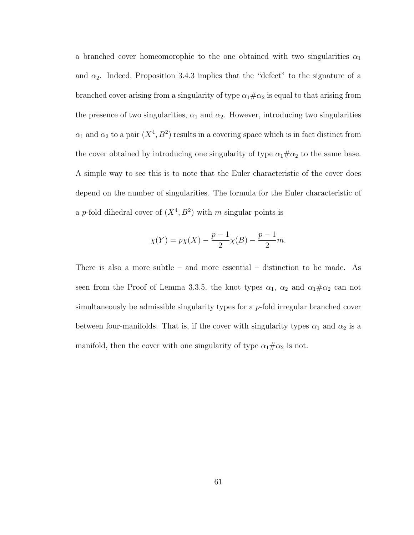a branched cover homeomorophic to the one obtained with two singularities  $\alpha_1$ and  $\alpha_2$ . Indeed, Proposition 3.4.3 implies that the "defect" to the signature of a branched cover arising from a singularity of type  $\alpha_1 \# \alpha_2$  is equal to that arising from the presence of two singularities,  $\alpha_1$  and  $\alpha_2$ . However, introducing two singularities  $\alpha_1$  and  $\alpha_2$  to a pair  $(X^4, B^2)$  results in a covering space which is in fact distinct from the cover obtained by introducing one singularity of type  $\alpha_1 \# \alpha_2$  to the same base. A simple way to see this is to note that the Euler characteristic of the cover does depend on the number of singularities. The formula for the Euler characteristic of a p-fold dihedral cover of  $(X^4, B^2)$  with m singular points is

$$
\chi(Y) = p\chi(X) - \frac{p-1}{2}\chi(B) - \frac{p-1}{2}m.
$$

There is also a more subtle – and more essential – distinction to be made. As seen from the Proof of Lemma 3.3.5, the knot types  $\alpha_1$ ,  $\alpha_2$  and  $\alpha_1 \# \alpha_2$  can not simultaneously be admissible singularity types for a p-fold irregular branched cover between four-manifolds. That is, if the cover with singularity types  $\alpha_1$  and  $\alpha_2$  is a manifold, then the cover with one singularity of type  $\alpha_1 \# \alpha_2$  is not.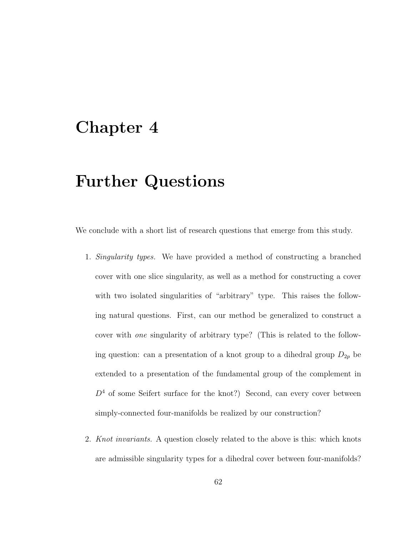### Chapter 4

## Further Questions

We conclude with a short list of research questions that emerge from this study.

- 1. Singularity types. We have provided a method of constructing a branched cover with one slice singularity, as well as a method for constructing a cover with two isolated singularities of "arbitrary" type. This raises the following natural questions. First, can our method be generalized to construct a cover with one singularity of arbitrary type? (This is related to the following question: can a presentation of a knot group to a dihedral group  $D_{2p}$  be extended to a presentation of the fundamental group of the complement in  $D<sup>4</sup>$  of some Seifert surface for the knot?) Second, can every cover between simply-connected four-manifolds be realized by our construction?
- 2. Knot invariants. A question closely related to the above is this: which knots are admissible singularity types for a dihedral cover between four-manifolds?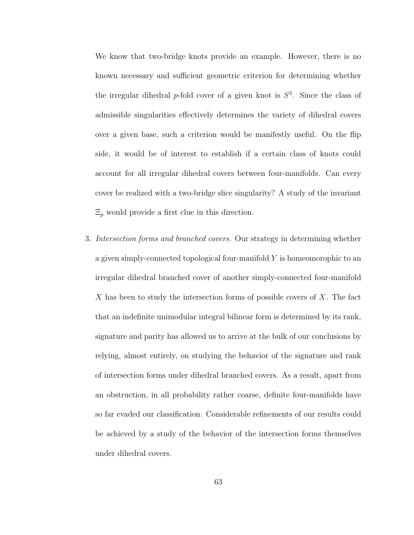We know that two-bridge knots provide an example. However, there is no known necessary and sufficient geometric criterion for determining whether the irregular dihedral p-fold cover of a given knot is  $S<sup>3</sup>$ . Since the class of admissible singularities effectively determines the variety of dihedral covers over a given base, such a criterion would be manifestly useful. On the flip side, it would be of interest to establish if a certain class of knots could account for all irregular dihedral covers between four-manifolds. Can every cover be realized with a two-bridge slice singularity? A study of the invariant  $\Xi_p$  would provide a first clue in this direction.

3. Intersection forms and branched covers. Our strategy in determining whether a given simply-connected topological four-manifold  $Y$  is homeomorophic to an irregular dihedral branched cover of another simply-connected four-manifold X has been to study the intersection forms of possible covers of  $X$ . The fact that an indefinite unimodular integral bilinear form is determined by its rank, signature and parity has allowed us to arrive at the bulk of our conclusions by relying, almost entirely, on studying the behavior of the signature and rank of intersection forms under dihedral branched covers. As a result, apart from an obstruction, in all probability rather coarse, definite four-manifolds have so far evaded our classification. Considerable refinements of our results could be achieved by a study of the behavior of the intersection forms themselves under dihedral covers.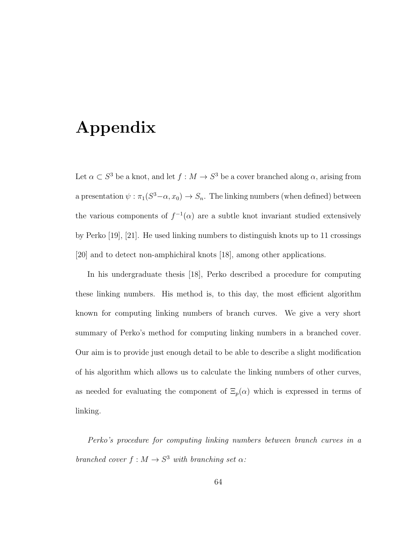### Appendix

Let  $\alpha \subset S^3$  be a knot, and let  $f : M \to S^3$  be a cover branched along  $\alpha$ , arising from a presentation  $\psi : \pi_1(S^3-\alpha, x_0) \to S_n$ . The linking numbers (when defined) between the various components of  $f^{-1}(\alpha)$  are a subtle knot invariant studied extensively by Perko [19], [21]. He used linking numbers to distinguish knots up to 11 crossings [20] and to detect non-amphichiral knots [18], among other applications.

In his undergraduate thesis [18], Perko described a procedure for computing these linking numbers. His method is, to this day, the most efficient algorithm known for computing linking numbers of branch curves. We give a very short summary of Perko's method for computing linking numbers in a branched cover. Our aim is to provide just enough detail to be able to describe a slight modification of his algorithm which allows us to calculate the linking numbers of other curves, as needed for evaluating the component of  $\Xi_p(\alpha)$  which is expressed in terms of linking.

Perko's procedure for computing linking numbers between branch curves in a branched cover  $f : M \to S^3$  with branching set  $\alpha$ :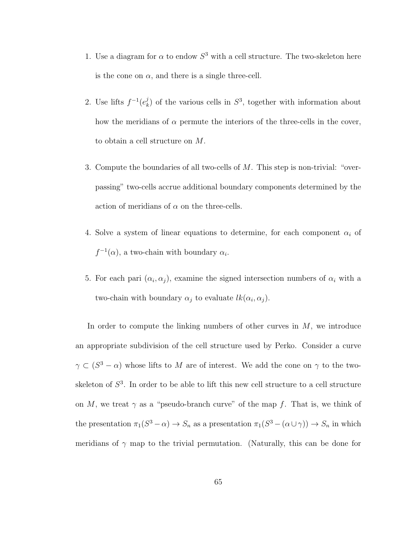- 1. Use a diagram for  $\alpha$  to endow  $S^3$  with a cell structure. The two-skeleton here is the cone on  $\alpha$ , and there is a single three-cell.
- 2. Use lifts  $f^{-1}(e_k^j)$  $\lambda_k^j$  of the various cells in  $S^3$ , together with information about how the meridians of  $\alpha$  permute the interiors of the three-cells in the cover, to obtain a cell structure on M.
- 3. Compute the boundaries of all two-cells of M. This step is non-trivial: "overpassing" two-cells accrue additional boundary components determined by the action of meridians of  $\alpha$  on the three-cells.
- 4. Solve a system of linear equations to determine, for each component  $\alpha_i$  of  $f^{-1}(\alpha)$ , a two-chain with boundary  $\alpha_i$ .
- 5. For each pari  $(\alpha_i, \alpha_j)$ , examine the signed intersection numbers of  $\alpha_i$  with a two-chain with boundary  $\alpha_j$  to evaluate  $lk(\alpha_i, \alpha_j)$ .

In order to compute the linking numbers of other curves in  $M$ , we introduce an appropriate subdivision of the cell structure used by Perko. Consider a curve  $\gamma \subset (S^3 - \alpha)$  whose lifts to M are of interest. We add the cone on  $\gamma$  to the twoskeleton of  $S<sup>3</sup>$ . In order to be able to lift this new cell structure to a cell structure on M, we treat  $\gamma$  as a "pseudo-branch curve" of the map f. That is, we think of the presentation  $\pi_1(S^3 - \alpha) \to S_n$  as a presentation  $\pi_1(S^3 - (\alpha \cup \gamma)) \to S_n$  in which meridians of  $\gamma$  map to the trivial permutation. (Naturally, this can be done for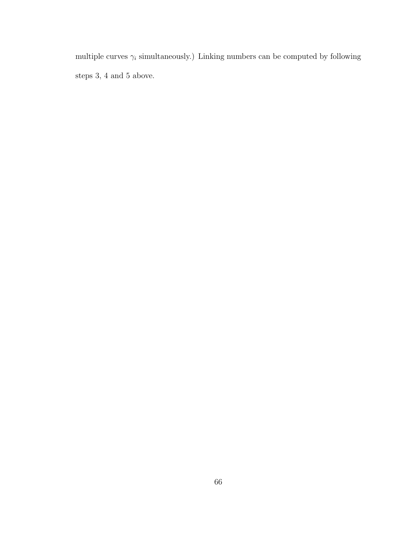multiple curves  $\gamma_i$  simultaneously.) Linking numbers can be computed by following steps 3, 4 and 5 above.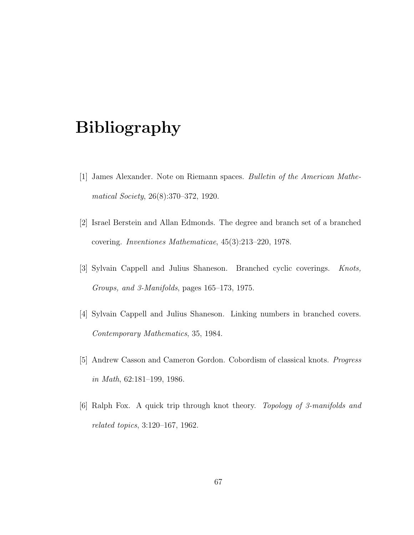## Bibliography

- [1] James Alexander. Note on Riemann spaces. Bulletin of the American Mathematical Society, 26(8):370–372, 1920.
- [2] Israel Berstein and Allan Edmonds. The degree and branch set of a branched covering. Inventiones Mathematicae, 45(3):213–220, 1978.
- [3] Sylvain Cappell and Julius Shaneson. Branched cyclic coverings. Knots, Groups, and 3-Manifolds, pages 165–173, 1975.
- [4] Sylvain Cappell and Julius Shaneson. Linking numbers in branched covers. Contemporary Mathematics, 35, 1984.
- [5] Andrew Casson and Cameron Gordon. Cobordism of classical knots. Progress in Math, 62:181–199, 1986.
- [6] Ralph Fox. A quick trip through knot theory. Topology of 3-manifolds and related topics, 3:120–167, 1962.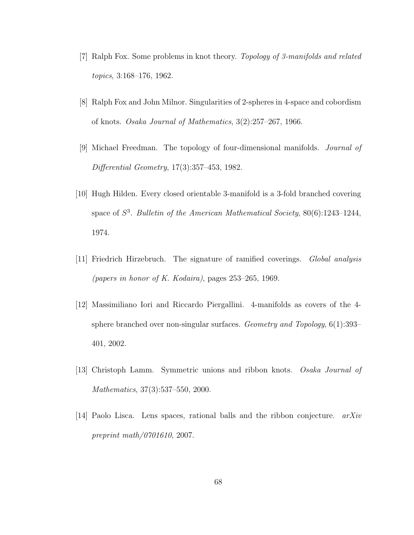- [7] Ralph Fox. Some problems in knot theory. Topology of 3-manifolds and related topics, 3:168–176, 1962.
- [8] Ralph Fox and John Milnor. Singularities of 2-spheres in 4-space and cobordism of knots. Osaka Journal of Mathematics, 3(2):257–267, 1966.
- [9] Michael Freedman. The topology of four-dimensional manifolds. Journal of Differential Geometry, 17(3):357–453, 1982.
- [10] Hugh Hilden. Every closed orientable 3-manifold is a 3-fold branched covering space of  $S^3$ . Bulletin of the American Mathematical Society,  $80(6)$ :1243-1244, 1974.
- [11] Friedrich Hirzebruch. The signature of ramified coverings. Global analysis (papers in honor of K. Kodaira), pages 253–265, 1969.
- [12] Massimiliano Iori and Riccardo Piergallini. 4-manifolds as covers of the 4 sphere branched over non-singular surfaces. Geometry and Topology, 6(1):393– 401, 2002.
- [13] Christoph Lamm. Symmetric unions and ribbon knots. Osaka Journal of Mathematics, 37(3):537–550, 2000.
- [14] Paolo Lisca. Lens spaces, rational balls and the ribbon conjecture. arXiv preprint math/0701610, 2007.